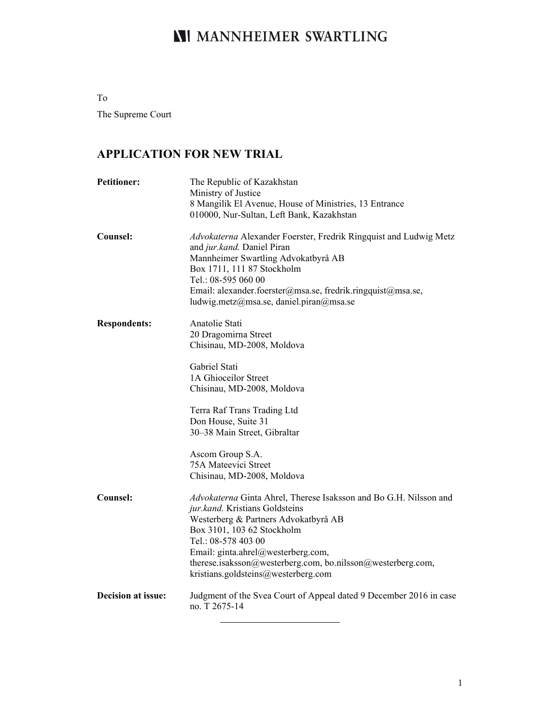# **NI MANNHEIMER SWARTLING**

To The Supreme Court

# **APPLICATION FOR NEW TRIAL**

| <b>Petitioner:</b>        | The Republic of Kazakhstan<br>Ministry of Justice<br>8 Mangilik El Avenue, House of Ministries, 13 Entrance<br>010000, Nur-Sultan, Left Bank, Kazakhstan                                                                                                                                                                                     |
|---------------------------|----------------------------------------------------------------------------------------------------------------------------------------------------------------------------------------------------------------------------------------------------------------------------------------------------------------------------------------------|
| Counsel:                  | Advokaterna Alexander Foerster, Fredrik Ringquist and Ludwig Metz<br>and jur.kand. Daniel Piran<br>Mannheimer Swartling Advokatbyrå AB<br>Box 1711, 111 87 Stockholm<br>Tel.: 08-595 060 00<br>Email: alexander.foerster@msa.se, fredrik.ringquist@msa.se,<br>ludwig.metz@msa.se, daniel.piran@msa.se                                        |
| <b>Respondents:</b>       | Anatolie Stati<br>20 Dragomirna Street<br>Chisinau, MD-2008, Moldova                                                                                                                                                                                                                                                                         |
|                           | Gabriel Stati<br>1A Ghioceilor Street<br>Chisinau, MD-2008, Moldova                                                                                                                                                                                                                                                                          |
|                           | Terra Raf Trans Trading Ltd<br>Don House, Suite 31<br>30-38 Main Street, Gibraltar                                                                                                                                                                                                                                                           |
|                           | Ascom Group S.A.<br>75A Mateevici Street<br>Chisinau, MD-2008, Moldova                                                                                                                                                                                                                                                                       |
| Counsel:                  | Advokaterna Ginta Ahrel, Therese Isaksson and Bo G.H. Nilsson and<br>jur.kand. Kristians Goldsteins<br>Westerberg & Partners Advokatbyrå AB<br>Box 3101, 103 62 Stockholm<br>Tel.: 08-578 403 00<br>Email: ginta.ahrel@westerberg.com,<br>therese.isaksson@westerberg.com, bo.nilsson@westerberg.com,<br>kristians.goldsteins@westerberg.com |
| <b>Decision at issue:</b> | Judgment of the Svea Court of Appeal dated 9 December 2016 in case<br>no. T 2675-14                                                                                                                                                                                                                                                          |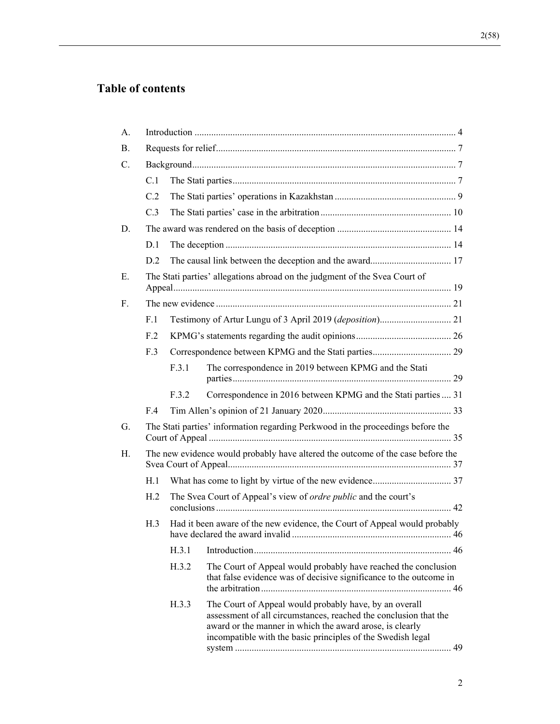# **Table of contents**

| A.        |                                                                                                                     |                                                                            |                                                                                                                                                                                                                                                       |
|-----------|---------------------------------------------------------------------------------------------------------------------|----------------------------------------------------------------------------|-------------------------------------------------------------------------------------------------------------------------------------------------------------------------------------------------------------------------------------------------------|
| <b>B.</b> |                                                                                                                     |                                                                            |                                                                                                                                                                                                                                                       |
| C.        |                                                                                                                     |                                                                            |                                                                                                                                                                                                                                                       |
|           | C.1                                                                                                                 |                                                                            |                                                                                                                                                                                                                                                       |
|           | C.2                                                                                                                 |                                                                            |                                                                                                                                                                                                                                                       |
|           | C.3                                                                                                                 |                                                                            |                                                                                                                                                                                                                                                       |
| D.        |                                                                                                                     |                                                                            |                                                                                                                                                                                                                                                       |
|           | D.1                                                                                                                 |                                                                            |                                                                                                                                                                                                                                                       |
|           | D.2                                                                                                                 |                                                                            |                                                                                                                                                                                                                                                       |
| E.        |                                                                                                                     | The Stati parties' allegations abroad on the judgment of the Svea Court of |                                                                                                                                                                                                                                                       |
| F.        |                                                                                                                     |                                                                            |                                                                                                                                                                                                                                                       |
|           | F.1                                                                                                                 |                                                                            |                                                                                                                                                                                                                                                       |
|           | F <sub>12</sub>                                                                                                     |                                                                            |                                                                                                                                                                                                                                                       |
|           | F.3                                                                                                                 |                                                                            |                                                                                                                                                                                                                                                       |
|           |                                                                                                                     | F.3.1                                                                      | The correspondence in 2019 between KPMG and the Stati                                                                                                                                                                                                 |
|           |                                                                                                                     | F.3.2                                                                      | Correspondence in 2016 between KPMG and the Stati parties  31                                                                                                                                                                                         |
|           | F.4                                                                                                                 |                                                                            |                                                                                                                                                                                                                                                       |
| G.        |                                                                                                                     |                                                                            | The Stati parties' information regarding Perkwood in the proceedings before the                                                                                                                                                                       |
| Η.        | The new evidence would probably have altered the outcome of the case before the                                     |                                                                            |                                                                                                                                                                                                                                                       |
|           | H.1                                                                                                                 |                                                                            |                                                                                                                                                                                                                                                       |
|           | H <sub>2</sub>                                                                                                      |                                                                            | The Svea Court of Appeal's view of ordre public and the court's                                                                                                                                                                                       |
|           | Had it been aware of the new evidence, the Court of Appeal would probably<br>H.3<br>have declared the award invalid |                                                                            | $\frac{46}{100}$                                                                                                                                                                                                                                      |
|           |                                                                                                                     | H.3.1                                                                      |                                                                                                                                                                                                                                                       |
|           |                                                                                                                     | H.3.2                                                                      | The Court of Appeal would probably have reached the conclusion<br>that false evidence was of decisive significance to the outcome in                                                                                                                  |
|           |                                                                                                                     | H.3.3                                                                      | The Court of Appeal would probably have, by an overall<br>assessment of all circumstances, reached the conclusion that the<br>award or the manner in which the award arose, is clearly<br>incompatible with the basic principles of the Swedish legal |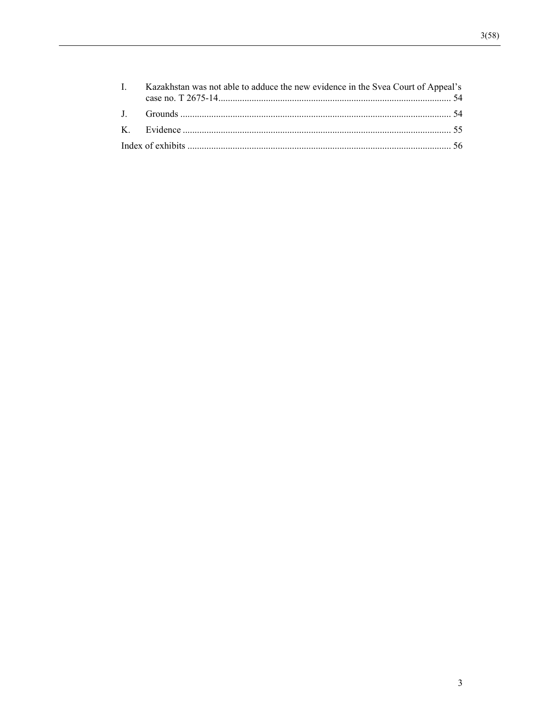| I. Kazakhstan was not able to adduce the new evidence in the Svea Court of Appeal's |
|-------------------------------------------------------------------------------------|
|                                                                                     |
|                                                                                     |
|                                                                                     |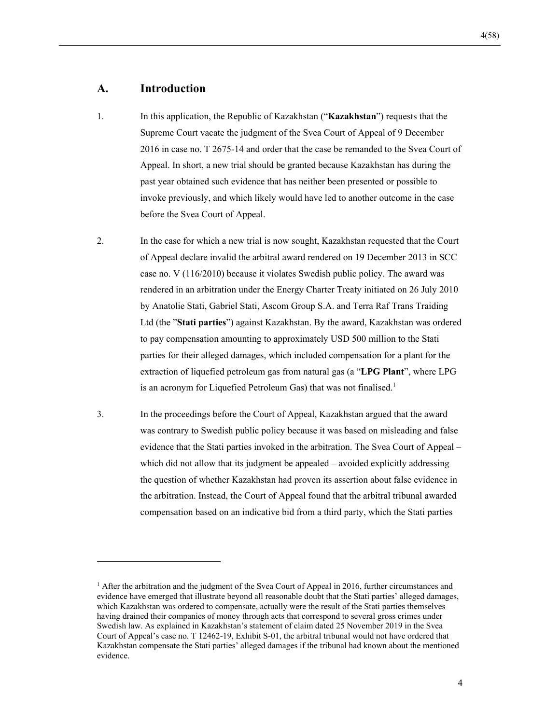## **A. Introduction**

- 1. In this application, the Republic of Kazakhstan ("**Kazakhstan**") requests that the Supreme Court vacate the judgment of the Svea Court of Appeal of 9 December 2016 in case no. T 2675-14 and order that the case be remanded to the Svea Court of Appeal. In short, a new trial should be granted because Kazakhstan has during the past year obtained such evidence that has neither been presented or possible to invoke previously, and which likely would have led to another outcome in the case before the Svea Court of Appeal.
- 2. In the case for which a new trial is now sought, Kazakhstan requested that the Court of Appeal declare invalid the arbitral award rendered on 19 December 2013 in SCC case no. V (116/2010) because it violates Swedish public policy. The award was rendered in an arbitration under the Energy Charter Treaty initiated on 26 July 2010 by Anatolie Stati, Gabriel Stati, Ascom Group S.A. and Terra Raf Trans Traiding Ltd (the "**Stati parties**") against Kazakhstan. By the award, Kazakhstan was ordered to pay compensation amounting to approximately USD 500 million to the Stati parties for their alleged damages, which included compensation for a plant for the extraction of liquefied petroleum gas from natural gas (a "**LPG Plant**", where LPG is an acronym for Liquefied Petroleum Gas) that was not finalised.<sup>1</sup>
- 3. In the proceedings before the Court of Appeal, Kazakhstan argued that the award was contrary to Swedish public policy because it was based on misleading and false evidence that the Stati parties invoked in the arbitration. The Svea Court of Appeal – which did not allow that its judgment be appealed – avoided explicitly addressing the question of whether Kazakhstan had proven its assertion about false evidence in the arbitration. Instead, the Court of Appeal found that the arbitral tribunal awarded compensation based on an indicative bid from a third party, which the Stati parties

<sup>&</sup>lt;sup>1</sup> After the arbitration and the judgment of the Svea Court of Appeal in 2016, further circumstances and evidence have emerged that illustrate beyond all reasonable doubt that the Stati parties' alleged damages, which Kazakhstan was ordered to compensate, actually were the result of the Stati parties themselves having drained their companies of money through acts that correspond to several gross crimes under Swedish law. As explained in Kazakhstan's statement of claim dated 25 November 2019 in the Svea Court of Appeal's case no. T 12462-19, Exhibit S-01, the arbitral tribunal would not have ordered that Kazakhstan compensate the Stati parties' alleged damages if the tribunal had known about the mentioned evidence.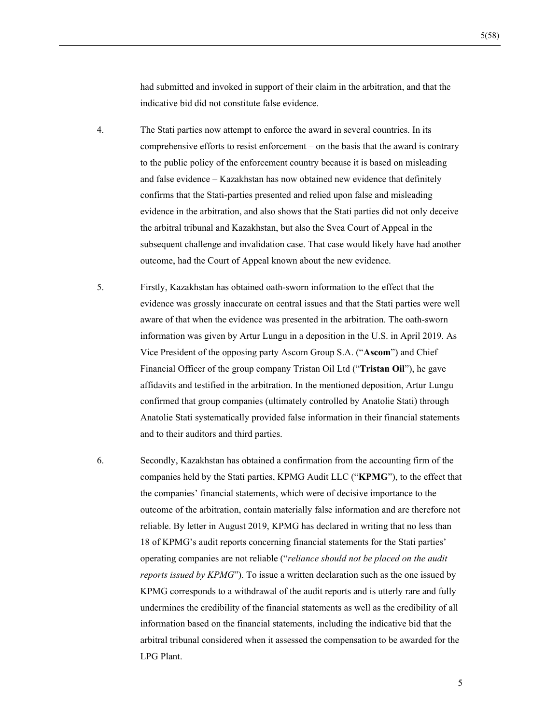had submitted and invoked in support of their claim in the arbitration, and that the indicative bid did not constitute false evidence.

- 4. The Stati parties now attempt to enforce the award in several countries. In its comprehensive efforts to resist enforcement – on the basis that the award is contrary to the public policy of the enforcement country because it is based on misleading and false evidence – Kazakhstan has now obtained new evidence that definitely confirms that the Stati-parties presented and relied upon false and misleading evidence in the arbitration, and also shows that the Stati parties did not only deceive the arbitral tribunal and Kazakhstan, but also the Svea Court of Appeal in the subsequent challenge and invalidation case. That case would likely have had another outcome, had the Court of Appeal known about the new evidence.
- 5. Firstly, Kazakhstan has obtained oath-sworn information to the effect that the evidence was grossly inaccurate on central issues and that the Stati parties were well aware of that when the evidence was presented in the arbitration. The oath-sworn information was given by Artur Lungu in a deposition in the U.S. in April 2019. As Vice President of the opposing party Ascom Group S.A. ("**Ascom**") and Chief Financial Officer of the group company Tristan Oil Ltd ("**Tristan Oil**"), he gave affidavits and testified in the arbitration. In the mentioned deposition, Artur Lungu confirmed that group companies (ultimately controlled by Anatolie Stati) through Anatolie Stati systematically provided false information in their financial statements and to their auditors and third parties.
- 6. Secondly, Kazakhstan has obtained a confirmation from the accounting firm of the companies held by the Stati parties, KPMG Audit LLC ("**KPMG**"), to the effect that the companies' financial statements, which were of decisive importance to the outcome of the arbitration, contain materially false information and are therefore not reliable. By letter in August 2019, KPMG has declared in writing that no less than 18 of KPMG's audit reports concerning financial statements for the Stati parties' operating companies are not reliable ("*reliance should not be placed on the audit reports issued by KPMG*"). To issue a written declaration such as the one issued by KPMG corresponds to a withdrawal of the audit reports and is utterly rare and fully undermines the credibility of the financial statements as well as the credibility of all information based on the financial statements, including the indicative bid that the arbitral tribunal considered when it assessed the compensation to be awarded for the LPG Plant.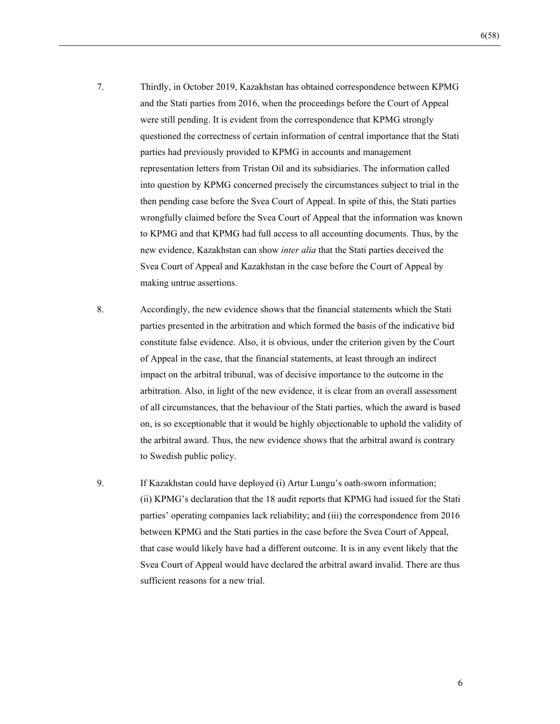- 7. Thirdly, in October 2019, Kazakhstan has obtained correspondence between KPMG and the Stati parties from 2016, when the proceedings before the Court of Appeal were still pending. It is evident from the correspondence that KPMG strongly questioned the correctness of certain information of central importance that the Stati parties had previously provided to KPMG in accounts and management representation letters from Tristan Oil and its subsidiaries. The information called into question by KPMG concerned precisely the circumstances subject to trial in the then pending case before the Svea Court of Appeal. In spite of this, the Stati parties wrongfully claimed before the Svea Court of Appeal that the information was known to KPMG and that KPMG had full access to all accounting documents. Thus, by the new evidence, Kazakhstan can show *inter alia* that the Stati parties deceived the Svea Court of Appeal and Kazakhstan in the case before the Court of Appeal by making untrue assertions.
- 8. Accordingly, the new evidence shows that the financial statements which the Stati parties presented in the arbitration and which formed the basis of the indicative bid constitute false evidence. Also, it is obvious, under the criterion given by the Court of Appeal in the case, that the financial statements, at least through an indirect impact on the arbitral tribunal, was of decisive importance to the outcome in the arbitration. Also, in light of the new evidence, it is clear from an overall assessment of all circumstances, that the behaviour of the Stati parties, which the award is based on, is so exceptionable that it would be highly objectionable to uphold the validity of the arbitral award. Thus, the new evidence shows that the arbitral award is contrary to Swedish public policy.
- 9. If Kazakhstan could have deployed (i) Artur Lungu's oath-sworn information; (ii) KPMG's declaration that the 18 audit reports that KPMG had issued for the Stati parties' operating companies lack reliability; and (iii) the correspondence from 2016 between KPMG and the Stati parties in the case before the Svea Court of Appeal, that case would likely have had a different outcome. It is in any event likely that the Svea Court of Appeal would have declared the arbitral award invalid. There are thus sufficient reasons for a new trial.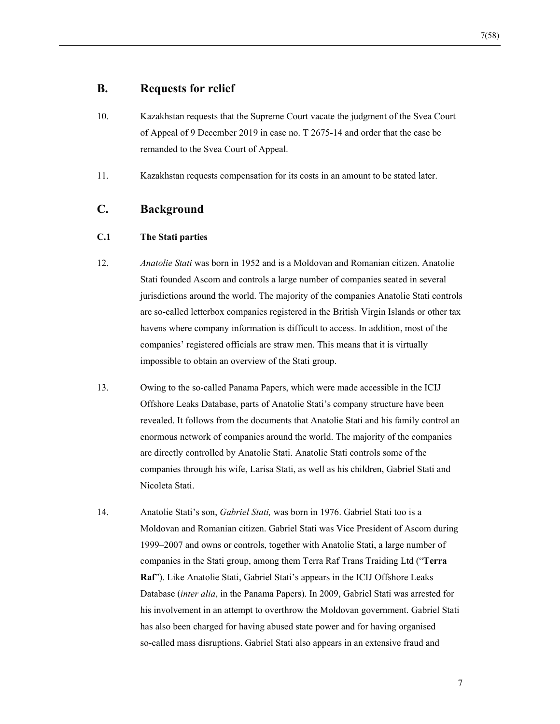## **B. Requests for relief**

- 10. Kazakhstan requests that the Supreme Court vacate the judgment of the Svea Court of Appeal of 9 December 2019 in case no. T 2675-14 and order that the case be remanded to the Svea Court of Appeal.
- 11. Kazakhstan requests compensation for its costs in an amount to be stated later.

## **C. Background**

### **C.1 The Stati parties**

- 12. *Anatolie Stati* was born in 1952 and is a Moldovan and Romanian citizen. Anatolie Stati founded Ascom and controls a large number of companies seated in several jurisdictions around the world. The majority of the companies Anatolie Stati controls are so-called letterbox companies registered in the British Virgin Islands or other tax havens where company information is difficult to access. In addition, most of the companies' registered officials are straw men. This means that it is virtually impossible to obtain an overview of the Stati group.
- 13. Owing to the so-called Panama Papers, which were made accessible in the ICIJ Offshore Leaks Database, parts of Anatolie Stati's company structure have been revealed. It follows from the documents that Anatolie Stati and his family control an enormous network of companies around the world. The majority of the companies are directly controlled by Anatolie Stati. Anatolie Stati controls some of the companies through his wife, Larisa Stati, as well as his children, Gabriel Stati and Nicoleta Stati.
- 14. Anatolie Stati's son, *Gabriel Stati,* was born in 1976. Gabriel Stati too is a Moldovan and Romanian citizen. Gabriel Stati was Vice President of Ascom during 1999–2007 and owns or controls, together with Anatolie Stati, a large number of companies in the Stati group, among them Terra Raf Trans Traiding Ltd ("**Terra Raf**"). Like Anatolie Stati, Gabriel Stati's appears in the ICIJ Offshore Leaks Database (*inter alia*, in the Panama Papers). In 2009, Gabriel Stati was arrested for his involvement in an attempt to overthrow the Moldovan government. Gabriel Stati has also been charged for having abused state power and for having organised so-called mass disruptions. Gabriel Stati also appears in an extensive fraud and

7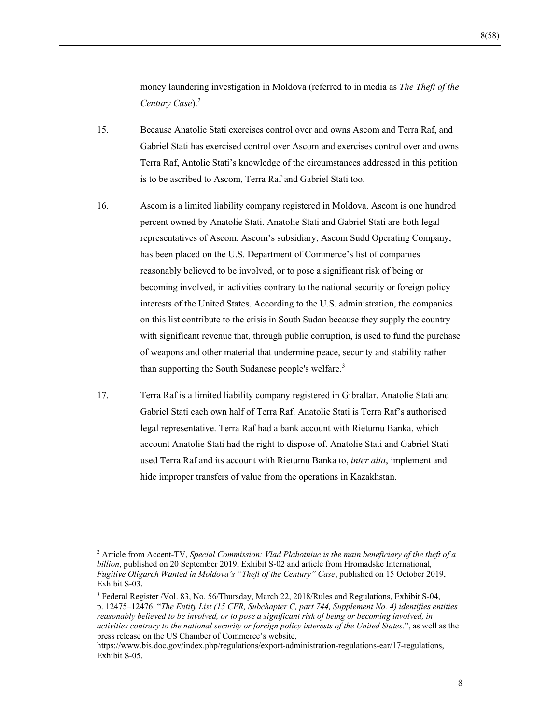money laundering investigation in Moldova (referred to in media as *The Theft of the Century Case*).<sup>2</sup>

- 15. Because Anatolie Stati exercises control over and owns Ascom and Terra Raf, and Gabriel Stati has exercised control over Ascom and exercises control over and owns Terra Raf, Antolie Stati's knowledge of the circumstances addressed in this petition is to be ascribed to Ascom, Terra Raf and Gabriel Stati too.
- 16. Ascom is a limited liability company registered in Moldova. Ascom is one hundred percent owned by Anatolie Stati. Anatolie Stati and Gabriel Stati are both legal representatives of Ascom. Ascom's subsidiary, Ascom Sudd Operating Company, has been placed on the U.S. Department of Commerce's list of companies reasonably believed to be involved, or to pose a significant risk of being or becoming involved, in activities contrary to the national security or foreign policy interests of the United States. According to the U.S. administration, the companies on this list contribute to the crisis in South Sudan because they supply the country with significant revenue that, through public corruption, is used to fund the purchase of weapons and other material that undermine peace, security and stability rather than supporting the South Sudanese people's welfare.<sup>3</sup>
- 17. Terra Raf is a limited liability company registered in Gibraltar. Anatolie Stati and Gabriel Stati each own half of Terra Raf. Anatolie Stati is Terra Raf's authorised legal representative. Terra Raf had a bank account with Rietumu Banka, which account Anatolie Stati had the right to dispose of. Anatolie Stati and Gabriel Stati used Terra Raf and its account with Rietumu Banka to, *inter alia*, implement and hide improper transfers of value from the operations in Kazakhstan.

<sup>2</sup> Article from Accent-TV, *Special Commission: Vlad Plahotniuc is the main beneficiary of the theft of a billion*, published on 20 September 2019, Exhibit S-02 and article from Hromadske International*, Fugitive Oligarch Wanted in Moldova's "Theft of the Century" Case*, published on 15 October 2019, Exhibit S-03.

<sup>&</sup>lt;sup>3</sup> Federal Register /Vol. 83, No. 56/Thursday, March 22, 2018/Rules and Regulations, Exhibit S-04, p. 12475–12476. "*The Entity List (15 CFR, Subchapter C, part 744, Supplement No. 4) identifies entities reasonably believed to be involved, or to pose a significant risk of being or becoming involved, in activities contrary to the national security or foreign policy interests of the United States*.", as well as the press release on the US Chamber of Commerce's website,

https://www.bis.doc.gov/index.php/regulations/export-administration-regulations-ear/17-regulations, Exhibit S-05.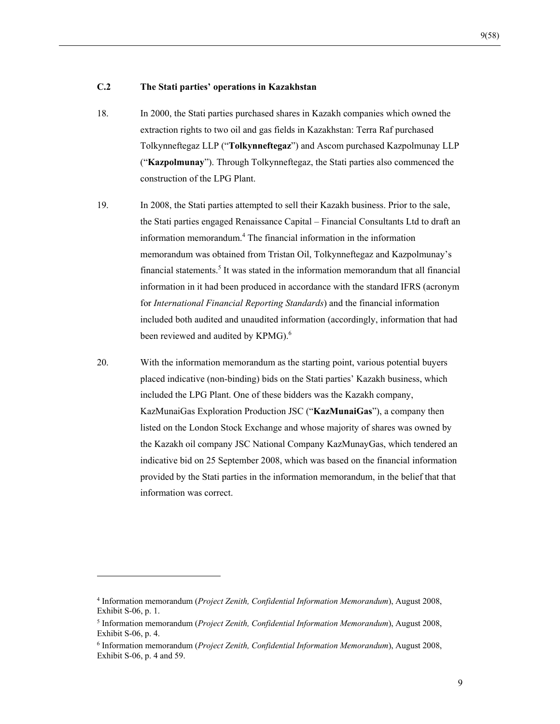#### **C.2 The Stati parties' operations in Kazakhstan**

- 18. In 2000, the Stati parties purchased shares in Kazakh companies which owned the extraction rights to two oil and gas fields in Kazakhstan: Terra Raf purchased Tolkynneftegaz LLP ("**Tolkynneftegaz**") and Ascom purchased Kazpolmunay LLP ("**Kazpolmunay**"). Through Tolkynneftegaz, the Stati parties also commenced the construction of the LPG Plant.
- 19. In 2008, the Stati parties attempted to sell their Kazakh business. Prior to the sale, the Stati parties engaged Renaissance Capital – Financial Consultants Ltd to draft an information memorandum.<sup>4</sup> The financial information in the information memorandum was obtained from Tristan Oil, Tolkynneftegaz and Kazpolmunay's financial statements.<sup>5</sup> It was stated in the information memorandum that all financial information in it had been produced in accordance with the standard IFRS (acronym for *International Financial Reporting Standards*) and the financial information included both audited and unaudited information (accordingly, information that had been reviewed and audited by KPMG). $^6$
- 20. With the information memorandum as the starting point, various potential buyers placed indicative (non-binding) bids on the Stati parties' Kazakh business, which included the LPG Plant. One of these bidders was the Kazakh company, KazMunaiGas Exploration Production JSC ("**KazMunaiGas**"), a company then listed on the London Stock Exchange and whose majority of shares was owned by the Kazakh oil company JSC National Company KazMunayGas, which tendered an indicative bid on 25 September 2008, which was based on the financial information provided by the Stati parties in the information memorandum, in the belief that that information was correct.

<sup>4</sup> Information memorandum (*Project Zenith, Confidential Information Memorandum*), August 2008, Exhibit S-06, p. 1.

<sup>5</sup> Information memorandum (*Project Zenith, Confidential Information Memorandum*), August 2008, Exhibit S-06, p. 4.

<sup>6</sup> Information memorandum (*Project Zenith, Confidential Information Memorandum*), August 2008, Exhibit S-06, p. 4 and 59.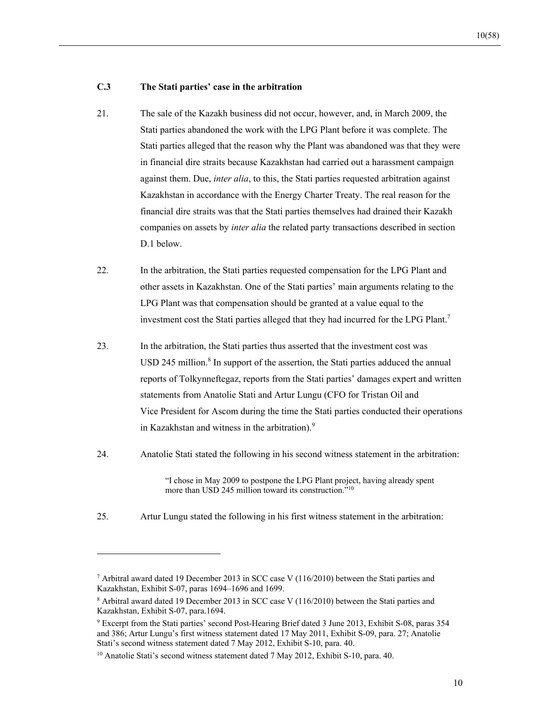#### **C.3 The Stati parties' case in the arbitration**

- 21. The sale of the Kazakh business did not occur, however, and, in March 2009, the Stati parties abandoned the work with the LPG Plant before it was complete. The Stati parties alleged that the reason why the Plant was abandoned was that they were in financial dire straits because Kazakhstan had carried out a harassment campaign against them. Due, *inter alia*, to this, the Stati parties requested arbitration against Kazakhstan in accordance with the Energy Charter Treaty. The real reason for the financial dire straits was that the Stati parties themselves had drained their Kazakh companies on assets by *inter alia* the related party transactions described in section D.1 below.
- 22. In the arbitration, the Stati parties requested compensation for the LPG Plant and other assets in Kazakhstan. One of the Stati parties' main arguments relating to the LPG Plant was that compensation should be granted at a value equal to the investment cost the Stati parties alleged that they had incurred for the LPG Plant.<sup>7</sup>
- 23. In the arbitration, the Stati parties thus asserted that the investment cost was USD 245 million.<sup>8</sup> In support of the assertion, the Stati parties adduced the annual reports of Tolkynneftegaz, reports from the Stati parties' damages expert and written statements from Anatolie Stati and Artur Lungu (CFO for Tristan Oil and Vice President for Ascom during the time the Stati parties conducted their operations in Kazakhstan and witness in the arbitration). $9$
- 24. Anatolie Stati stated the following in his second witness statement in the arbitration:

"I chose in May 2009 to postpone the LPG Plant project, having already spent more than USD 245 million toward its construction."10

25. Artur Lungu stated the following in his first witness statement in the arbitration:

<sup>7</sup> Arbitral award dated 19 December 2013 in SCC case V (116/2010) between the Stati parties and Kazakhstan, Exhibit S-07, paras 1694–1696 and 1699.

<sup>&</sup>lt;sup>8</sup> Arbitral award dated 19 December 2013 in SCC case V (116/2010) between the Stati parties and Kazakhstan, Exhibit S-07, para.1694.

<sup>9</sup> Excerpt from the Stati parties' second Post-Hearing Brief dated 3 June 2013, Exhibit S-08, paras 354 and 386; Artur Lungu's first witness statement dated 17 May 2011, Exhibit S-09, para. 27; Anatolie Stati's second witness statement dated 7 May 2012, Exhibit S-10, para. 40.

<sup>&</sup>lt;sup>10</sup> Anatolie Stati's second witness statement dated 7 May 2012, Exhibit S-10, para. 40.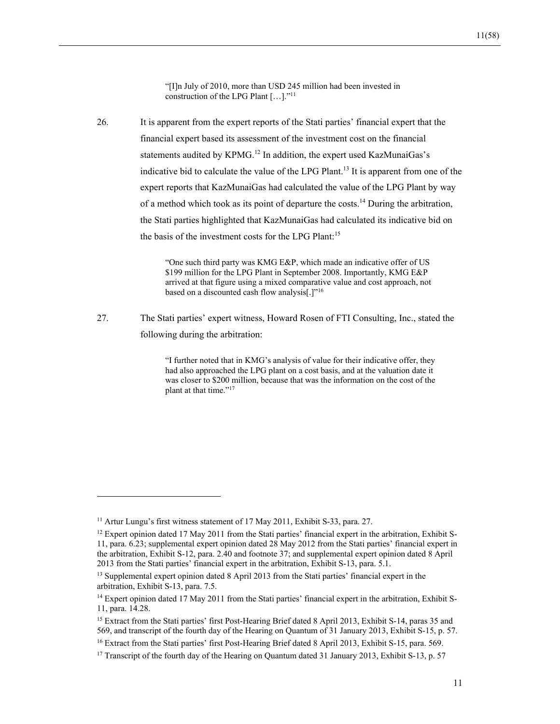"[I]n July of 2010, more than USD 245 million had been invested in construction of the LPG Plant […]."11

26. It is apparent from the expert reports of the Stati parties' financial expert that the financial expert based its assessment of the investment cost on the financial statements audited by KPMG.<sup>12</sup> In addition, the expert used KazMunaiGas's indicative bid to calculate the value of the LPG Plant.<sup>13</sup> It is apparent from one of the expert reports that KazMunaiGas had calculated the value of the LPG Plant by way of a method which took as its point of departure the costs.<sup>14</sup> During the arbitration, the Stati parties highlighted that KazMunaiGas had calculated its indicative bid on the basis of the investment costs for the LPG Plant:<sup>15</sup>

> "One such third party was KMG E&P, which made an indicative offer of US \$199 million for the LPG Plant in September 2008. Importantly, KMG E&P arrived at that figure using a mixed comparative value and cost approach, not based on a discounted cash flow analysis[.]"16

27. The Stati parties' expert witness, Howard Rosen of FTI Consulting, Inc., stated the following during the arbitration:

> "I further noted that in KMG's analysis of value for their indicative offer, they had also approached the LPG plant on a cost basis, and at the valuation date it was closer to \$200 million, because that was the information on the cost of the plant at that time."<sup>17</sup>

<sup>&</sup>lt;sup>11</sup> Artur Lungu's first witness statement of 17 May 2011, Exhibit S-33, para. 27.

 $12$  Expert opinion dated 17 May 2011 from the Stati parties' financial expert in the arbitration, Exhibit S-11, para. 6.23; supplemental expert opinion dated 28 May 2012 from the Stati parties' financial expert in the arbitration, Exhibit S-12, para. 2.40 and footnote 37; and supplemental expert opinion dated 8 April 2013 from the Stati parties' financial expert in the arbitration, Exhibit S-13, para. 5.1.

<sup>&</sup>lt;sup>13</sup> Supplemental expert opinion dated 8 April 2013 from the Stati parties' financial expert in the arbitration, Exhibit S-13, para. 7.5.

<sup>&</sup>lt;sup>14</sup> Expert opinion dated 17 May 2011 from the Stati parties' financial expert in the arbitration, Exhibit S-11, para. 14.28.

<sup>&</sup>lt;sup>15</sup> Extract from the Stati parties' first Post-Hearing Brief dated 8 April 2013, Exhibit S-14, paras 35 and 569, and transcript of the fourth day of the Hearing on Quantum of 31 January 2013, Exhibit S-15, p. 57.

<sup>&</sup>lt;sup>16</sup> Extract from the Stati parties' first Post-Hearing Brief dated 8 April 2013, Exhibit S-15, para. 569.

<sup>&</sup>lt;sup>17</sup> Transcript of the fourth day of the Hearing on Quantum dated 31 January 2013, Exhibit S-13, p. 57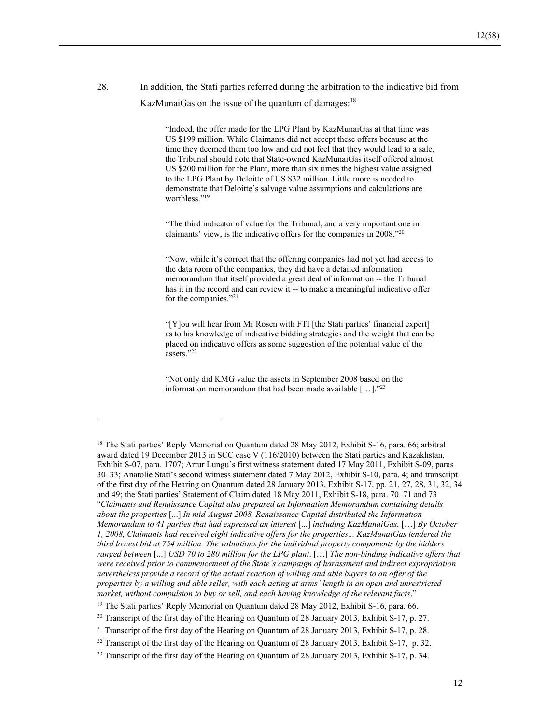28. In addition, the Stati parties referred during the arbitration to the indicative bid from KazMunaiGas on the issue of the quantum of damages: $18$ 

> "Indeed, the offer made for the LPG Plant by KazMunaiGas at that time was US \$199 million. While Claimants did not accept these offers because at the time they deemed them too low and did not feel that they would lead to a sale, the Tribunal should note that State-owned KazMunaiGas itself offered almost US \$200 million for the Plant, more than six times the highest value assigned to the LPG Plant by Deloitte of US \$32 million. Little more is needed to demonstrate that Deloitte's salvage value assumptions and calculations are worthless."<sup>19</sup>

"The third indicator of value for the Tribunal, and a very important one in claimants' view, is the indicative offers for the companies in 2008."20

"Now, while it's correct that the offering companies had not yet had access to the data room of the companies, they did have a detailed information memorandum that itself provided a great deal of information -- the Tribunal has it in the record and can review it -- to make a meaningful indicative offer for the companies."21

"[Y]ou will hear from Mr Rosen with FTI [the Stati parties' financial expert] as to his knowledge of indicative bidding strategies and the weight that can be placed on indicative offers as some suggestion of the potential value of the assets."22

"Not only did KMG value the assets in September 2008 based on the information memorandum that had been made available […]."23

<sup>&</sup>lt;sup>18</sup> The Stati parties' Reply Memorial on Quantum dated 28 May 2012, Exhibit S-16, para. 66; arbitral award dated 19 December 2013 in SCC case V (116/2010) between the Stati parties and Kazakhstan, Exhibit S-07, para. 1707; Artur Lungu's first witness statement dated 17 May 2011, Exhibit S-09, paras 30–33; Anatolie Stati's second witness statement dated 7 May 2012, Exhibit S-10, para. 4; and transcript of the first day of the Hearing on Quantum dated 28 January 2013, Exhibit S-17, pp. 21, 27, 28, 31, 32, 34 and 49; the Stati parties' Statement of Claim dated 18 May 2011, Exhibit S-18, para. 70–71 and 73 "*Claimants and Renaissance Capital also prepared an Information Memorandum containing details about the properties* [...] *In mid-August 2008, Renaissance Capital distributed the Information Memorandum to 41 parties that had expressed an interest* [...] *including KazMunaiGas.* […] *By October 1, 2008, Claimants had received eight indicative offers for the properties... KazMunaiGas tendered the third lowest bid at 754 million. The valuations for the individual property components by the bidders ranged between* [...] *USD 70 to 280 million for the LPG plant*. […] *The non-binding indicative offers that were received prior to commencement of the State's campaign of harassment and indirect expropriation nevertheless provide a record of the actual reaction of willing and able buyers to an offer of the properties by a willing and able seller, with each acting at arms' length in an open and unrestricted market, without compulsion to buy or sell, and each having knowledge of the relevant facts*."

<sup>&</sup>lt;sup>19</sup> The Stati parties' Reply Memorial on Quantum dated 28 May 2012, Exhibit S-16, para. 66.

<sup>&</sup>lt;sup>20</sup> Transcript of the first day of the Hearing on Quantum of 28 January 2013, Exhibit S-17, p. 27.

<sup>&</sup>lt;sup>21</sup> Transcript of the first day of the Hearing on Quantum of 28 January 2013, Exhibit S-17, p. 28.

<sup>&</sup>lt;sup>22</sup> Transcript of the first day of the Hearing on Quantum of 28 January 2013, Exhibit S-17, p. 32.

<sup>&</sup>lt;sup>23</sup> Transcript of the first day of the Hearing on Quantum of 28 January 2013, Exhibit S-17, p. 34.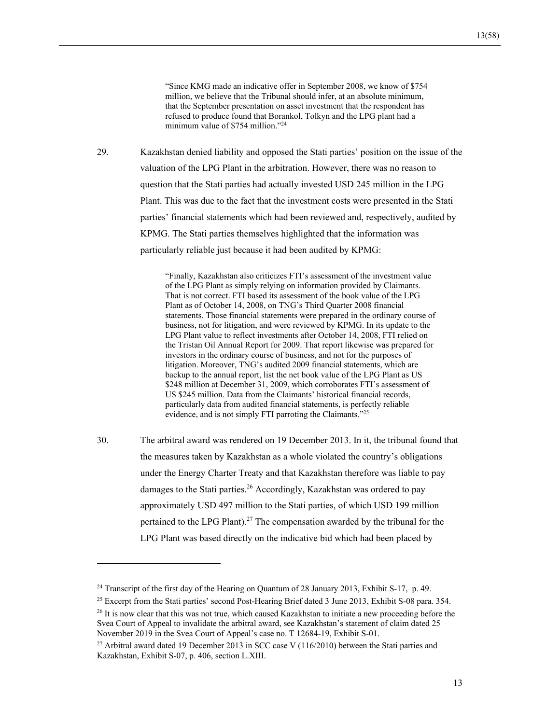"Since KMG made an indicative offer in September 2008, we know of \$754 million, we believe that the Tribunal should infer, at an absolute minimum, that the September presentation on asset investment that the respondent has refused to produce found that Borankol, Tolkyn and the LPG plant had a minimum value of \$754 million."<sup>24</sup>

29. Kazakhstan denied liability and opposed the Stati parties' position on the issue of the valuation of the LPG Plant in the arbitration. However, there was no reason to question that the Stati parties had actually invested USD 245 million in the LPG Plant. This was due to the fact that the investment costs were presented in the Stati parties' financial statements which had been reviewed and, respectively, audited by KPMG. The Stati parties themselves highlighted that the information was particularly reliable just because it had been audited by KPMG:

> "Finally, Kazakhstan also criticizes FTI's assessment of the investment value of the LPG Plant as simply relying on information provided by Claimants. That is not correct. FTI based its assessment of the book value of the LPG Plant as of October 14, 2008, on TNG's Third Quarter 2008 financial statements. Those financial statements were prepared in the ordinary course of business, not for litigation, and were reviewed by KPMG. In its update to the LPG Plant value to reflect investments after October 14, 2008, FTI relied on the Tristan Oil Annual Report for 2009. That report likewise was prepared for investors in the ordinary course of business, and not for the purposes of litigation. Moreover, TNG's audited 2009 financial statements, which are backup to the annual report, list the net book value of the LPG Plant as US \$248 million at December 31, 2009, which corroborates FTI's assessment of US \$245 million. Data from the Claimants' historical financial records, particularly data from audited financial statements, is perfectly reliable evidence, and is not simply FTI parroting the Claimants."<sup>25</sup>

30. The arbitral award was rendered on 19 December 2013. In it, the tribunal found that the measures taken by Kazakhstan as a whole violated the country's obligations under the Energy Charter Treaty and that Kazakhstan therefore was liable to pay damages to the Stati parties.<sup>26</sup> Accordingly, Kazakhstan was ordered to pay approximately USD 497 million to the Stati parties, of which USD 199 million pertained to the LPG Plant).<sup>27</sup> The compensation awarded by the tribunal for the LPG Plant was based directly on the indicative bid which had been placed by

<sup>&</sup>lt;sup>24</sup> Transcript of the first day of the Hearing on Quantum of 28 January 2013, Exhibit S-17, p. 49.

<sup>&</sup>lt;sup>25</sup> Excerpt from the Stati parties' second Post-Hearing Brief dated 3 June 2013, Exhibit S-08 para. 354.

<sup>&</sup>lt;sup>26</sup> It is now clear that this was not true, which caused Kazakhstan to initiate a new proceeding before the Svea Court of Appeal to invalidate the arbitral award, see Kazakhstan's statement of claim dated 25 November 2019 in the Svea Court of Appeal's case no. T 12684-19, Exhibit S-01.

<sup>&</sup>lt;sup>27</sup> Arbitral award dated 19 December 2013 in SCC case V ( $116/2010$ ) between the Stati parties and Kazakhstan, Exhibit S-07, p. 406, section L.XIII.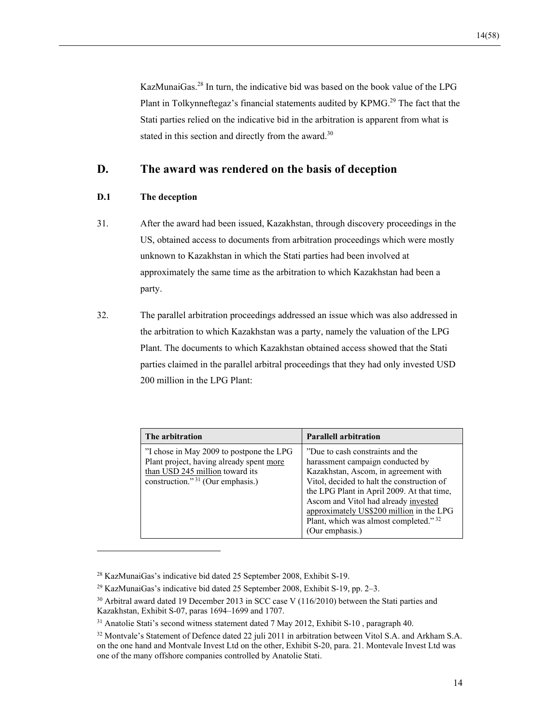KazMunaiGas.28 In turn, the indicative bid was based on the book value of the LPG Plant in Tolkynneftegaz's financial statements audited by KPMG.<sup>29</sup> The fact that the Stati parties relied on the indicative bid in the arbitration is apparent from what is stated in this section and directly from the award.<sup>30</sup>

## **D. The award was rendered on the basis of deception**

## **D.1 The deception**

- 31. After the award had been issued, Kazakhstan, through discovery proceedings in the US, obtained access to documents from arbitration proceedings which were mostly unknown to Kazakhstan in which the Stati parties had been involved at approximately the same time as the arbitration to which Kazakhstan had been a party.
- 32. The parallel arbitration proceedings addressed an issue which was also addressed in the arbitration to which Kazakhstan was a party, namely the valuation of the LPG Plant. The documents to which Kazakhstan obtained access showed that the Stati parties claimed in the parallel arbitral proceedings that they had only invested USD 200 million in the LPG Plant:

| The arbitration                                                                                                                                                         | <b>Parallell arbitration</b>                                                                                                                                                                                                                                                                                                                              |
|-------------------------------------------------------------------------------------------------------------------------------------------------------------------------|-----------------------------------------------------------------------------------------------------------------------------------------------------------------------------------------------------------------------------------------------------------------------------------------------------------------------------------------------------------|
| "I chose in May 2009 to postpone the LPG<br>Plant project, having already spent more<br>than USD 245 million toward its<br>construction." <sup>31</sup> (Our emphasis.) | "Due to cash constraints and the<br>harassment campaign conducted by<br>Kazakhstan, Ascom, in agreement with<br>Vitol, decided to halt the construction of<br>the LPG Plant in April 2009. At that time,<br>Ascom and Vitol had already invested<br>approximately US\$200 million in the LPG<br>Plant, which was almost completed." 32<br>(Our emphasis.) |

<sup>28</sup> KazMunaiGas's indicative bid dated 25 September 2008, Exhibit S-19.

<sup>29</sup> KazMunaiGas's indicative bid dated 25 September 2008, Exhibit S-19, pp. 2–3.

<sup>&</sup>lt;sup>30</sup> Arbitral award dated 19 December 2013 in SCC case V (116/2010) between the Stati parties and Kazakhstan, Exhibit S-07, paras 1694–1699 and 1707.

<sup>31</sup> Anatolie Stati's second witness statement dated 7 May 2012, Exhibit S-10 , paragraph 40.

<sup>&</sup>lt;sup>32</sup> Montvale's Statement of Defence dated 22 juli 2011 in arbitration between Vitol S.A. and Arkham S.A. on the one hand and Montvale Invest Ltd on the other, Exhibit S-20, para. 21. Montevale Invest Ltd was one of the many offshore companies controlled by Anatolie Stati.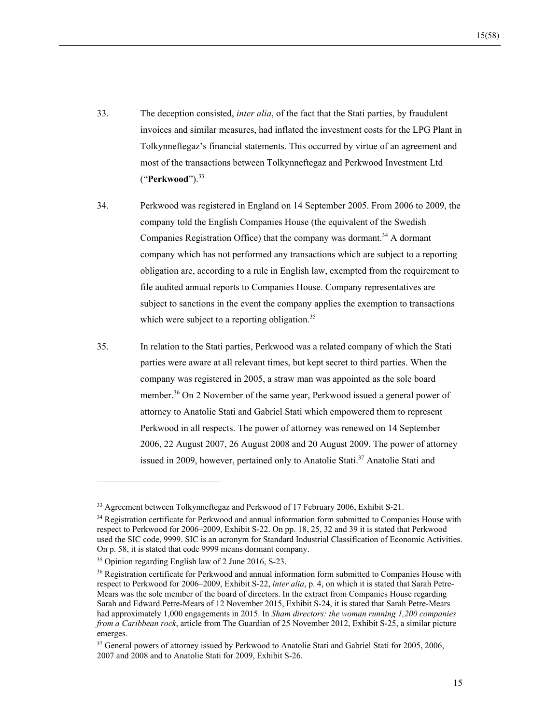- 33. The deception consisted, *inter alia*, of the fact that the Stati parties, by fraudulent invoices and similar measures, had inflated the investment costs for the LPG Plant in Tolkynneftegaz's financial statements. This occurred by virtue of an agreement and most of the transactions between Tolkynneftegaz and Perkwood Investment Ltd ("**Perkwood**").33
- 34. Perkwood was registered in England on 14 September 2005. From 2006 to 2009, the company told the English Companies House (the equivalent of the Swedish Companies Registration Office) that the company was dormant.<sup>34</sup> A dormant company which has not performed any transactions which are subject to a reporting obligation are, according to a rule in English law, exempted from the requirement to file audited annual reports to Companies House. Company representatives are subject to sanctions in the event the company applies the exemption to transactions which were subject to a reporting obligation.<sup>35</sup>
- 35. In relation to the Stati parties, Perkwood was a related company of which the Stati parties were aware at all relevant times, but kept secret to third parties. When the company was registered in 2005, a straw man was appointed as the sole board member.<sup>36</sup> On 2 November of the same year, Perkwood issued a general power of attorney to Anatolie Stati and Gabriel Stati which empowered them to represent Perkwood in all respects. The power of attorney was renewed on 14 September 2006, 22 August 2007, 26 August 2008 and 20 August 2009. The power of attorney issued in 2009, however, pertained only to Anatolie Stati.<sup>37</sup> Anatolie Stati and

<sup>33</sup> Agreement between Tolkynneftegaz and Perkwood of 17 February 2006, Exhibit S-21.

<sup>&</sup>lt;sup>34</sup> Registration certificate for Perkwood and annual information form submitted to Companies House with respect to Perkwood for 2006–2009, Exhibit S-22. On pp. 18, 25, 32 and 39 it is stated that Perkwood used the SIC code, 9999. SIC is an acronym for Standard Industrial Classification of Economic Activities. On p. 58, it is stated that code 9999 means dormant company.

<sup>35</sup> Opinion regarding English law of 2 June 2016, S-23.

<sup>&</sup>lt;sup>36</sup> Registration certificate for Perkwood and annual information form submitted to Companies House with respect to Perkwood for 2006–2009, Exhibit S-22, *inter alia*, p. 4, on which it is stated that Sarah Petre-Mears was the sole member of the board of directors. In the extract from Companies House regarding Sarah and Edward Petre-Mears of 12 November 2015, Exhibit S-24, it is stated that Sarah Petre-Mears had approximately 1,000 engagements in 2015. In *Sham directors: the woman running 1,200 companies from a Caribbean rock*, article from The Guardian of 25 November 2012, Exhibit S-25, a similar picture emerges.

<sup>&</sup>lt;sup>37</sup> General powers of attorney issued by Perkwood to Anatolie Stati and Gabriel Stati for 2005, 2006, 2007 and 2008 and to Anatolie Stati for 2009, Exhibit S-26.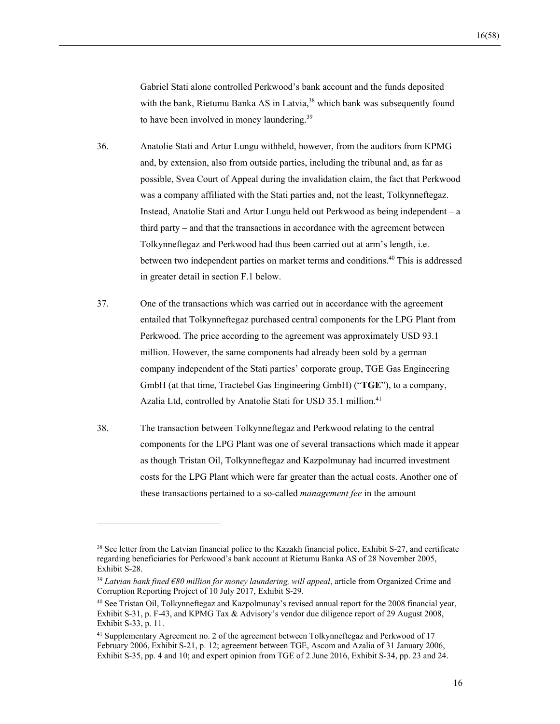Gabriel Stati alone controlled Perkwood's bank account and the funds deposited with the bank, Rietumu Banka AS in Latvia,<sup>38</sup> which bank was subsequently found to have been involved in money laundering.<sup>39</sup>

- 36. Anatolie Stati and Artur Lungu withheld, however, from the auditors from KPMG and, by extension, also from outside parties, including the tribunal and, as far as possible, Svea Court of Appeal during the invalidation claim, the fact that Perkwood was a company affiliated with the Stati parties and, not the least, Tolkynneftegaz. Instead, Anatolie Stati and Artur Lungu held out Perkwood as being independent – a third party – and that the transactions in accordance with the agreement between Tolkynneftegaz and Perkwood had thus been carried out at arm's length, i.e. between two independent parties on market terms and conditions.40 This is addressed in greater detail in section F.1 below.
- 37. One of the transactions which was carried out in accordance with the agreement entailed that Tolkynneftegaz purchased central components for the LPG Plant from Perkwood. The price according to the agreement was approximately USD 93.1 million. However, the same components had already been sold by a german company independent of the Stati parties' corporate group, TGE Gas Engineering GmbH (at that time, Tractebel Gas Engineering GmbH) ("**TGE**"), to a company, Azalia Ltd, controlled by Anatolie Stati for USD 35.1 million.<sup>41</sup>
- 38. The transaction between Tolkynneftegaz and Perkwood relating to the central components for the LPG Plant was one of several transactions which made it appear as though Tristan Oil, Tolkynneftegaz and Kazpolmunay had incurred investment costs for the LPG Plant which were far greater than the actual costs. Another one of these transactions pertained to a so-called *management fee* in the amount

<sup>&</sup>lt;sup>38</sup> See letter from the Latvian financial police to the Kazakh financial police, Exhibit S-27, and certificate regarding beneficiaries for Perkwood's bank account at Rietumu Banka AS of 28 November 2005, Exhibit S-28.

<sup>39</sup> *Latvian bank fined €80 million for money laundering, will appeal*, article from Organized Crime and Corruption Reporting Project of 10 July 2017, Exhibit S-29.

<sup>40</sup> See Tristan Oil, Tolkynneftegaz and Kazpolmunay's revised annual report for the 2008 financial year, Exhibit S-31, p. F-43, and KPMG Tax & Advisory's vendor due diligence report of 29 August 2008, Exhibit S-33, p. 11.

<sup>&</sup>lt;sup>41</sup> Supplementary Agreement no. 2 of the agreement between Tolkynneftegaz and Perkwood of 17 February 2006, Exhibit S-21, p. 12; agreement between TGE, Ascom and Azalia of 31 January 2006, Exhibit S-35, pp. 4 and 10; and expert opinion from TGE of 2 June 2016, Exhibit S-34, pp. 23 and 24.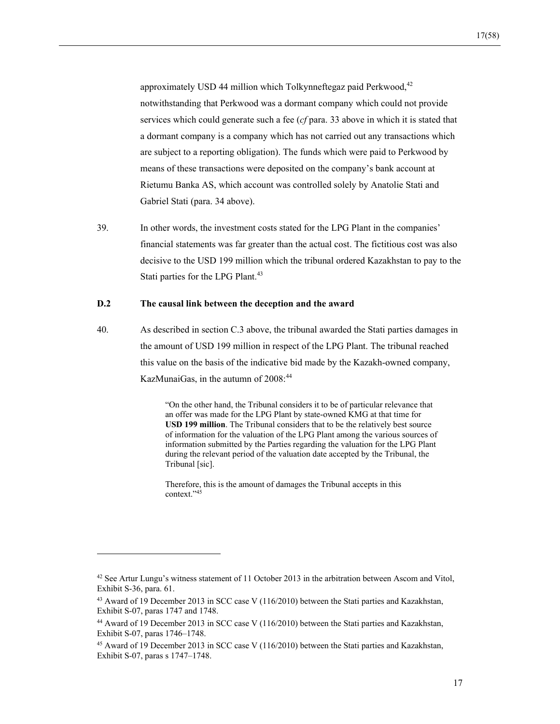approximately USD 44 million which Tolkynneftegaz paid Perkwood, $42$ notwithstanding that Perkwood was a dormant company which could not provide services which could generate such a fee (*cf* para. 33 above in which it is stated that a dormant company is a company which has not carried out any transactions which are subject to a reporting obligation). The funds which were paid to Perkwood by means of these transactions were deposited on the company's bank account at Rietumu Banka AS, which account was controlled solely by Anatolie Stati and Gabriel Stati (para. 34 above).

39. In other words, the investment costs stated for the LPG Plant in the companies' financial statements was far greater than the actual cost. The fictitious cost was also decisive to the USD 199 million which the tribunal ordered Kazakhstan to pay to the Stati parties for the LPG Plant.<sup>43</sup>

#### **D.2 The causal link between the deception and the award**

l

40. As described in section C.3 above, the tribunal awarded the Stati parties damages in the amount of USD 199 million in respect of the LPG Plant. The tribunal reached this value on the basis of the indicative bid made by the Kazakh-owned company, KazMunaiGas, in the autumn of 2008:<sup>44</sup>

> "On the other hand, the Tribunal considers it to be of particular relevance that an offer was made for the LPG Plant by state-owned KMG at that time for **USD 199 million**. The Tribunal considers that to be the relatively best source of information for the valuation of the LPG Plant among the various sources of information submitted by the Parties regarding the valuation for the LPG Plant during the relevant period of the valuation date accepted by the Tribunal, the Tribunal [sic].

Therefore, this is the amount of damages the Tribunal accepts in this context."45

<sup>&</sup>lt;sup>42</sup> See Artur Lungu's witness statement of 11 October 2013 in the arbitration between Ascom and Vitol, Exhibit S-36, para. 61.

<sup>&</sup>lt;sup>43</sup> Award of 19 December 2013 in SCC case V (116/2010) between the Stati parties and Kazakhstan, Exhibit S-07, paras 1747 and 1748.

<sup>44</sup> Award of 19 December 2013 in SCC case V (116/2010) between the Stati parties and Kazakhstan, Exhibit S-07, paras 1746–1748.

<sup>45</sup> Award of 19 December 2013 in SCC case V (116/2010) between the Stati parties and Kazakhstan, Exhibit S-07, paras s 1747–1748.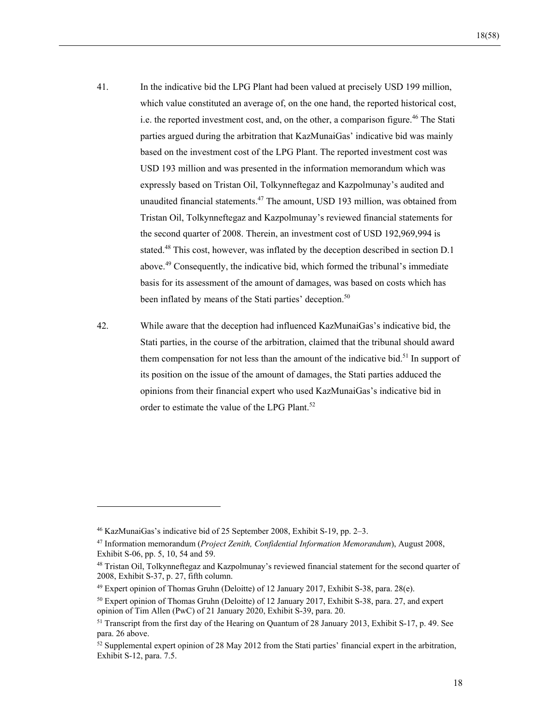- 41. In the indicative bid the LPG Plant had been valued at precisely USD 199 million, which value constituted an average of, on the one hand, the reported historical cost, i.e. the reported investment cost, and, on the other, a comparison figure.<sup>46</sup> The Stati parties argued during the arbitration that KazMunaiGas' indicative bid was mainly based on the investment cost of the LPG Plant. The reported investment cost was USD 193 million and was presented in the information memorandum which was expressly based on Tristan Oil, Tolkynneftegaz and Kazpolmunay's audited and unaudited financial statements.47 The amount, USD 193 million, was obtained from Tristan Oil, Tolkynneftegaz and Kazpolmunay's reviewed financial statements for the second quarter of 2008. Therein, an investment cost of USD 192,969,994 is stated.<sup>48</sup> This cost, however, was inflated by the deception described in section D.1 above.49 Consequently, the indicative bid, which formed the tribunal's immediate basis for its assessment of the amount of damages, was based on costs which has been inflated by means of the Stati parties' deception.<sup>50</sup>
- 42. While aware that the deception had influenced KazMunaiGas's indicative bid, the Stati parties, in the course of the arbitration, claimed that the tribunal should award them compensation for not less than the amount of the indicative bid.<sup>51</sup> In support of its position on the issue of the amount of damages, the Stati parties adduced the opinions from their financial expert who used KazMunaiGas's indicative bid in order to estimate the value of the LPG Plant.<sup>52</sup>

<sup>46</sup> KazMunaiGas's indicative bid of 25 September 2008, Exhibit S-19, pp. 2–3.

<sup>47</sup> Information memorandum (*Project Zenith, Confidential Information Memorandum*), August 2008, Exhibit S-06, pp. 5, 10, 54 and 59.

<sup>48</sup> Tristan Oil, Tolkynneftegaz and Kazpolmunay's reviewed financial statement for the second quarter of 2008, Exhibit S-37, p. 27, fifth column.

<sup>49</sup> Expert opinion of Thomas Gruhn (Deloitte) of 12 January 2017, Exhibit S-38, para. 28(e).

<sup>&</sup>lt;sup>50</sup> Expert opinion of Thomas Gruhn (Deloitte) of 12 January 2017, Exhibit S-38, para. 27, and expert opinion of Tim Allen (PwC) of 21 January 2020, Exhibit S-39, para. 20.

<sup>51</sup> Transcript from the first day of the Hearing on Quantum of 28 January 2013, Exhibit S-17, p. 49. See para. 26 above.

 $52$  Supplemental expert opinion of 28 May 2012 from the Stati parties' financial expert in the arbitration, Exhibit S-12, para. 7.5.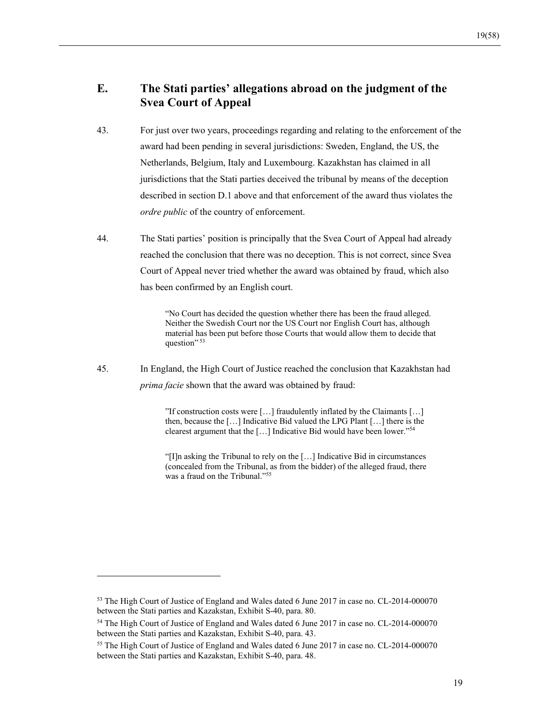## **E. The Stati parties' allegations abroad on the judgment of the Svea Court of Appeal**

- 43. For just over two years, proceedings regarding and relating to the enforcement of the award had been pending in several jurisdictions: Sweden, England, the US, the Netherlands, Belgium, Italy and Luxembourg. Kazakhstan has claimed in all jurisdictions that the Stati parties deceived the tribunal by means of the deception described in section D.1 above and that enforcement of the award thus violates the *ordre public* of the country of enforcement.
- 44. The Stati parties' position is principally that the Svea Court of Appeal had already reached the conclusion that there was no deception. This is not correct, since Svea Court of Appeal never tried whether the award was obtained by fraud, which also has been confirmed by an English court.

"No Court has decided the question whether there has been the fraud alleged. Neither the Swedish Court nor the US Court nor English Court has, although material has been put before those Courts that would allow them to decide that question" 53

45. In England, the High Court of Justice reached the conclusion that Kazakhstan had *prima facie* shown that the award was obtained by fraud:

> "If construction costs were […] fraudulently inflated by the Claimants […] then, because the […] Indicative Bid valued the LPG Plant […] there is the clearest argument that the […] Indicative Bid would have been lower."54

> "[I]n asking the Tribunal to rely on the […] Indicative Bid in circumstances (concealed from the Tribunal, as from the bidder) of the alleged fraud, there was a fraud on the Tribunal."55

<sup>&</sup>lt;sup>53</sup> The High Court of Justice of England and Wales dated 6 June 2017 in case no. CL-2014-000070 between the Stati parties and Kazakstan, Exhibit S-40, para. 80.

<sup>&</sup>lt;sup>54</sup> The High Court of Justice of England and Wales dated 6 June 2017 in case no. CL-2014-000070 between the Stati parties and Kazakstan, Exhibit S-40, para. 43.

<sup>&</sup>lt;sup>55</sup> The High Court of Justice of England and Wales dated 6 June 2017 in case no. CL-2014-000070 between the Stati parties and Kazakstan, Exhibit S-40, para. 48.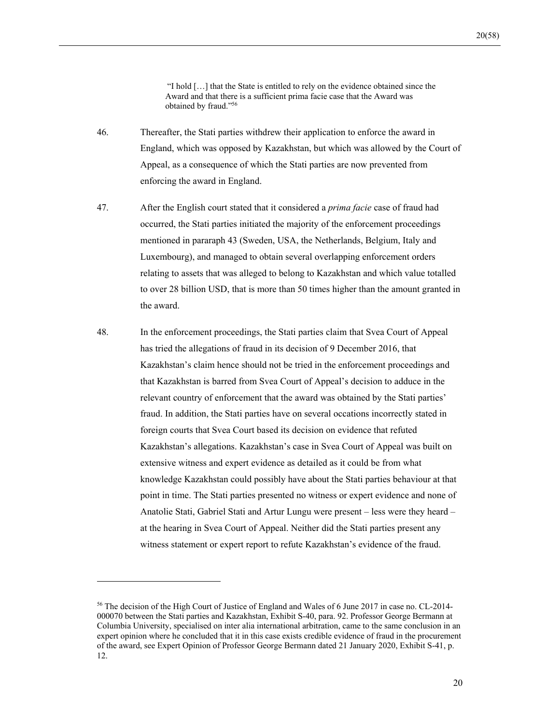"I hold […] that the State is entitled to rely on the evidence obtained since the Award and that there is a sufficient prima facie case that the Award was obtained by fraud."56

- 46. Thereafter, the Stati parties withdrew their application to enforce the award in England, which was opposed by Kazakhstan, but which was allowed by the Court of Appeal, as a consequence of which the Stati parties are now prevented from enforcing the award in England.
- 47. After the English court stated that it considered a *prima facie* case of fraud had occurred, the Stati parties initiated the majority of the enforcement proceedings mentioned in pararaph 43 (Sweden, USA, the Netherlands, Belgium, Italy and Luxembourg), and managed to obtain several overlapping enforcement orders relating to assets that was alleged to belong to Kazakhstan and which value totalled to over 28 billion USD, that is more than 50 times higher than the amount granted in the award.
- 48. In the enforcement proceedings, the Stati parties claim that Svea Court of Appeal has tried the allegations of fraud in its decision of 9 December 2016, that Kazakhstan's claim hence should not be tried in the enforcement proceedings and that Kazakhstan is barred from Svea Court of Appeal's decision to adduce in the relevant country of enforcement that the award was obtained by the Stati parties' fraud. In addition, the Stati parties have on several occations incorrectly stated in foreign courts that Svea Court based its decision on evidence that refuted Kazakhstan's allegations. Kazakhstan's case in Svea Court of Appeal was built on extensive witness and expert evidence as detailed as it could be from what knowledge Kazakhstan could possibly have about the Stati parties behaviour at that point in time. The Stati parties presented no witness or expert evidence and none of Anatolie Stati, Gabriel Stati and Artur Lungu were present – less were they heard – at the hearing in Svea Court of Appeal. Neither did the Stati parties present any witness statement or expert report to refute Kazakhstan's evidence of the fraud.

<sup>56</sup> The decision of the High Court of Justice of England and Wales of 6 June 2017 in case no. CL-2014- 000070 between the Stati parties and Kazakhstan, Exhibit S-40, para. 92. Professor George Bermann at Columbia University, specialised on inter alia international arbitration, came to the same conclusion in an expert opinion where he concluded that it in this case exists credible evidence of fraud in the procurement of the award, see Expert Opinion of Professor George Bermann dated 21 January 2020, Exhibit S-41, p. 12.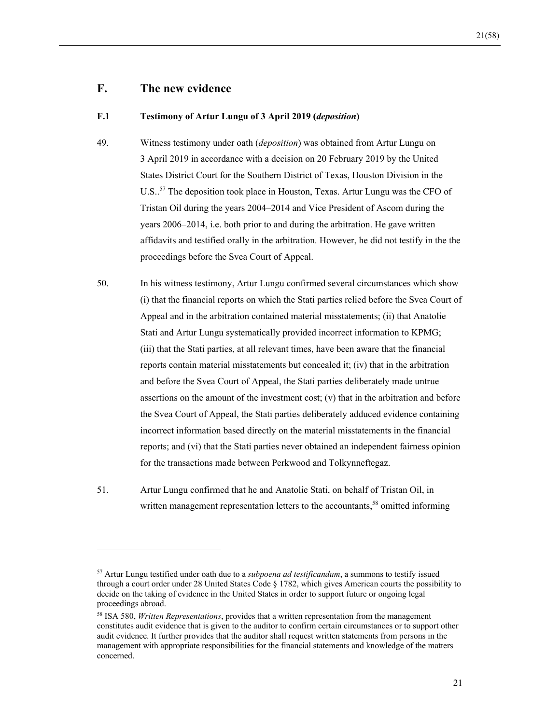## **F. The new evidence**

 $\overline{a}$ 

#### **F.1 Testimony of Artur Lungu of 3 April 2019 (***deposition***)**

- 49. Witness testimony under oath (*deposition*) was obtained from Artur Lungu on 3 April 2019 in accordance with a decision on 20 February 2019 by the United States District Court for the Southern District of Texas, Houston Division in the U.S..<sup>57</sup> The deposition took place in Houston, Texas. Artur Lungu was the CFO of Tristan Oil during the years 2004–2014 and Vice President of Ascom during the years 2006–2014, i.e. both prior to and during the arbitration. He gave written affidavits and testified orally in the arbitration. However, he did not testify in the the proceedings before the Svea Court of Appeal.
- 50. In his witness testimony, Artur Lungu confirmed several circumstances which show (i) that the financial reports on which the Stati parties relied before the Svea Court of Appeal and in the arbitration contained material misstatements; (ii) that Anatolie Stati and Artur Lungu systematically provided incorrect information to KPMG; (iii) that the Stati parties, at all relevant times, have been aware that the financial reports contain material misstatements but concealed it; (iv) that in the arbitration and before the Svea Court of Appeal, the Stati parties deliberately made untrue assertions on the amount of the investment cost; (v) that in the arbitration and before the Svea Court of Appeal, the Stati parties deliberately adduced evidence containing incorrect information based directly on the material misstatements in the financial reports; and (vi) that the Stati parties never obtained an independent fairness opinion for the transactions made between Perkwood and Tolkynneftegaz.
- 51. Artur Lungu confirmed that he and Anatolie Stati, on behalf of Tristan Oil, in written management representation letters to the accountants,<sup>58</sup> omitted informing

<sup>57</sup> Artur Lungu testified under oath due to a *subpoena ad testificandum*, a summons to testify issued through a court order under 28 United States Code § 1782, which gives American courts the possibility to decide on the taking of evidence in the United States in order to support future or ongoing legal proceedings abroad.

<sup>58</sup> ISA 580, *Written Representations*, provides that a written representation from the management constitutes audit evidence that is given to the auditor to confirm certain circumstances or to support other audit evidence. It further provides that the auditor shall request written statements from persons in the management with appropriate responsibilities for the financial statements and knowledge of the matters concerned.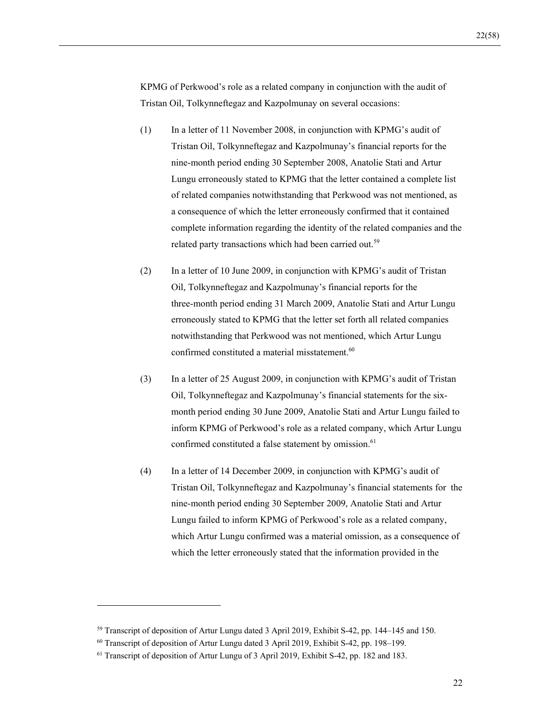KPMG of Perkwood's role as a related company in conjunction with the audit of Tristan Oil, Tolkynneftegaz and Kazpolmunay on several occasions:

- (1) In a letter of 11 November 2008, in conjunction with KPMG's audit of Tristan Oil, Tolkynneftegaz and Kazpolmunay's financial reports for the nine-month period ending 30 September 2008, Anatolie Stati and Artur Lungu erroneously stated to KPMG that the letter contained a complete list of related companies notwithstanding that Perkwood was not mentioned, as a consequence of which the letter erroneously confirmed that it contained complete information regarding the identity of the related companies and the related party transactions which had been carried out.<sup>59</sup>
- (2) In a letter of 10 June 2009, in conjunction with KPMG's audit of Tristan Oil, Tolkynneftegaz and Kazpolmunay's financial reports for the three-month period ending 31 March 2009, Anatolie Stati and Artur Lungu erroneously stated to KPMG that the letter set forth all related companies notwithstanding that Perkwood was not mentioned, which Artur Lungu confirmed constituted a material misstatement.<sup>60</sup>
- (3) In a letter of 25 August 2009, in conjunction with KPMG's audit of Tristan Oil, Tolkynneftegaz and Kazpolmunay's financial statements for the sixmonth period ending 30 June 2009, Anatolie Stati and Artur Lungu failed to inform KPMG of Perkwood's role as a related company, which Artur Lungu confirmed constituted a false statement by omission.<sup>61</sup>
- (4) In a letter of 14 December 2009, in conjunction with KPMG's audit of Tristan Oil, Tolkynneftegaz and Kazpolmunay's financial statements for the nine-month period ending 30 September 2009, Anatolie Stati and Artur Lungu failed to inform KPMG of Perkwood's role as a related company, which Artur Lungu confirmed was a material omission, as a consequence of which the letter erroneously stated that the information provided in the

<sup>59</sup> Transcript of deposition of Artur Lungu dated 3 April 2019, Exhibit S-42, pp. 144–145 and 150.

<sup>60</sup> Transcript of deposition of Artur Lungu dated 3 April 2019, Exhibit S-42, pp. 198–199.

<sup>61</sup> Transcript of deposition of Artur Lungu of 3 April 2019, Exhibit S-42, pp. 182 and 183.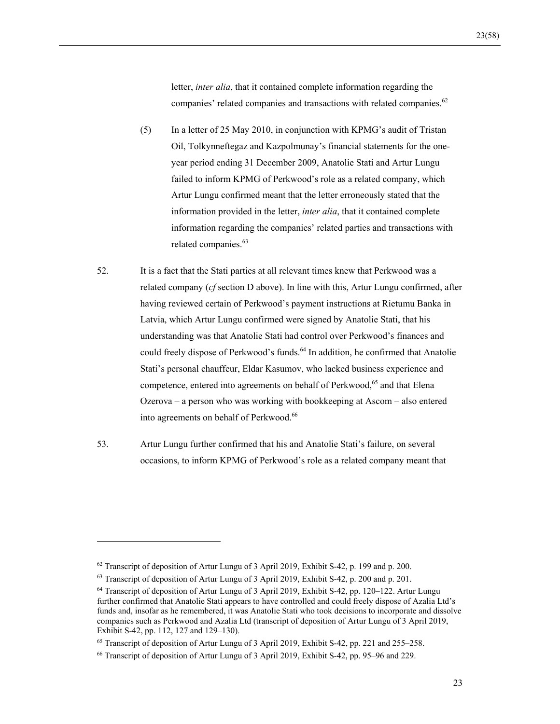letter, *inter alia*, that it contained complete information regarding the companies' related companies and transactions with related companies.<sup>62</sup>

- (5) In a letter of 25 May 2010, in conjunction with KPMG's audit of Tristan Oil, Tolkynneftegaz and Kazpolmunay's financial statements for the oneyear period ending 31 December 2009, Anatolie Stati and Artur Lungu failed to inform KPMG of Perkwood's role as a related company, which Artur Lungu confirmed meant that the letter erroneously stated that the information provided in the letter, *inter alia*, that it contained complete information regarding the companies' related parties and transactions with related companies.<sup>63</sup>
- 52. It is a fact that the Stati parties at all relevant times knew that Perkwood was a related company (*cf* section D above). In line with this, Artur Lungu confirmed, after having reviewed certain of Perkwood's payment instructions at Rietumu Banka in Latvia, which Artur Lungu confirmed were signed by Anatolie Stati, that his understanding was that Anatolie Stati had control over Perkwood's finances and could freely dispose of Perkwood's funds.<sup>64</sup> In addition, he confirmed that Anatolie Stati's personal chauffeur, Eldar Kasumov, who lacked business experience and competence, entered into agreements on behalf of Perkwood,<sup>65</sup> and that Elena Ozerova – a person who was working with bookkeeping at Ascom – also entered into agreements on behalf of Perkwood.<sup>66</sup>
- 53. Artur Lungu further confirmed that his and Anatolie Stati's failure, on several occasions, to inform KPMG of Perkwood's role as a related company meant that

<sup>&</sup>lt;sup>62</sup> Transcript of deposition of Artur Lungu of 3 April 2019, Exhibit S-42, p. 199 and p. 200.

<sup>&</sup>lt;sup>63</sup> Transcript of deposition of Artur Lungu of 3 April 2019, Exhibit S-42, p. 200 and p. 201.

<sup>64</sup> Transcript of deposition of Artur Lungu of 3 April 2019, Exhibit S-42, pp. 120–122. Artur Lungu further confirmed that Anatolie Stati appears to have controlled and could freely dispose of Azalia Ltd's funds and, insofar as he remembered, it was Anatolie Stati who took decisions to incorporate and dissolve companies such as Perkwood and Azalia Ltd (transcript of deposition of Artur Lungu of 3 April 2019, Exhibit S-42, pp. 112, 127 and 129–130).

<sup>&</sup>lt;sup>65</sup> Transcript of deposition of Artur Lungu of 3 April 2019, Exhibit S-42, pp. 221 and 255–258.

<sup>66</sup> Transcript of deposition of Artur Lungu of 3 April 2019, Exhibit S-42, pp. 95–96 and 229.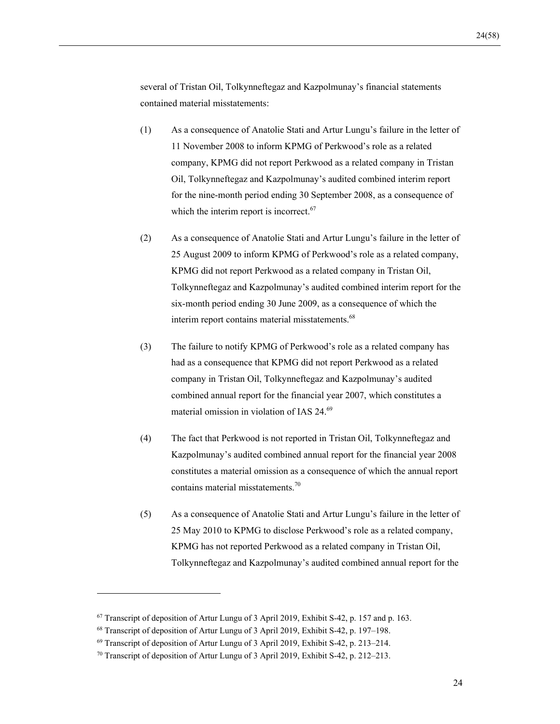several of Tristan Oil, Tolkynneftegaz and Kazpolmunay's financial statements contained material misstatements:

- (1) As a consequence of Anatolie Stati and Artur Lungu's failure in the letter of 11 November 2008 to inform KPMG of Perkwood's role as a related company, KPMG did not report Perkwood as a related company in Tristan Oil, Tolkynneftegaz and Kazpolmunay's audited combined interim report for the nine-month period ending 30 September 2008, as a consequence of which the interim report is incorrect.<sup>67</sup>
- (2) As a consequence of Anatolie Stati and Artur Lungu's failure in the letter of 25 August 2009 to inform KPMG of Perkwood's role as a related company, KPMG did not report Perkwood as a related company in Tristan Oil, Tolkynneftegaz and Kazpolmunay's audited combined interim report for the six-month period ending 30 June 2009, as a consequence of which the interim report contains material misstatements.<sup>68</sup>
- (3) The failure to notify KPMG of Perkwood's role as a related company has had as a consequence that KPMG did not report Perkwood as a related company in Tristan Oil, Tolkynneftegaz and Kazpolmunay's audited combined annual report for the financial year 2007, which constitutes a material omission in violation of IAS 24.<sup>69</sup>
- (4) The fact that Perkwood is not reported in Tristan Oil, Tolkynneftegaz and Kazpolmunay's audited combined annual report for the financial year 2008 constitutes a material omission as a consequence of which the annual report contains material misstatements.<sup>70</sup>
- (5) As a consequence of Anatolie Stati and Artur Lungu's failure in the letter of 25 May 2010 to KPMG to disclose Perkwood's role as a related company, KPMG has not reported Perkwood as a related company in Tristan Oil, Tolkynneftegaz and Kazpolmunay's audited combined annual report for the

<sup>&</sup>lt;sup>67</sup> Transcript of deposition of Artur Lungu of 3 April 2019, Exhibit S-42, p. 157 and p. 163.

<sup>68</sup> Transcript of deposition of Artur Lungu of 3 April 2019, Exhibit S-42, p. 197–198.

<sup>69</sup> Transcript of deposition of Artur Lungu of 3 April 2019, Exhibit S-42, p. 213–214.

<sup>70</sup> Transcript of deposition of Artur Lungu of 3 April 2019, Exhibit S-42, p. 212–213.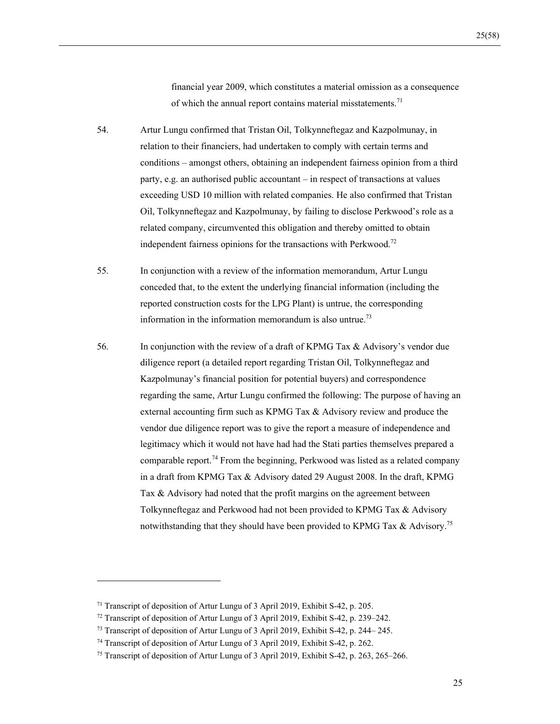financial year 2009, which constitutes a material omission as a consequence of which the annual report contains material misstatements.<sup>71</sup>

- 54. Artur Lungu confirmed that Tristan Oil, Tolkynneftegaz and Kazpolmunay, in relation to their financiers, had undertaken to comply with certain terms and conditions – amongst others, obtaining an independent fairness opinion from a third party, e.g. an authorised public accountant – in respect of transactions at values exceeding USD 10 million with related companies. He also confirmed that Tristan Oil, Tolkynneftegaz and Kazpolmunay, by failing to disclose Perkwood's role as a related company, circumvented this obligation and thereby omitted to obtain independent fairness opinions for the transactions with Perkwood.<sup>72</sup>
- 55. In conjunction with a review of the information memorandum, Artur Lungu conceded that, to the extent the underlying financial information (including the reported construction costs for the LPG Plant) is untrue, the corresponding information in the information memorandum is also untrue.73
- 56. In conjunction with the review of a draft of KPMG Tax & Advisory's vendor due diligence report (a detailed report regarding Tristan Oil, Tolkynneftegaz and Kazpolmunay's financial position for potential buyers) and correspondence regarding the same, Artur Lungu confirmed the following: The purpose of having an external accounting firm such as KPMG Tax & Advisory review and produce the vendor due diligence report was to give the report a measure of independence and legitimacy which it would not have had had the Stati parties themselves prepared a comparable report.74 From the beginning, Perkwood was listed as a related company in a draft from KPMG Tax & Advisory dated 29 August 2008. In the draft, KPMG Tax & Advisory had noted that the profit margins on the agreement between Tolkynneftegaz and Perkwood had not been provided to KPMG Tax & Advisory notwithstanding that they should have been provided to KPMG Tax  $\&$  Advisory.<sup>75</sup>

<sup>71</sup> Transcript of deposition of Artur Lungu of 3 April 2019, Exhibit S-42, p. 205.

<sup>72</sup> Transcript of deposition of Artur Lungu of 3 April 2019, Exhibit S-42, p. 239–242.

<sup>73</sup> Transcript of deposition of Artur Lungu of 3 April 2019, Exhibit S-42, p. 244– 245.

<sup>74</sup> Transcript of deposition of Artur Lungu of 3 April 2019, Exhibit S-42, p. 262.

<sup>&</sup>lt;sup>75</sup> Transcript of deposition of Artur Lungu of 3 April 2019, Exhibit S-42, p. 263, 265–266.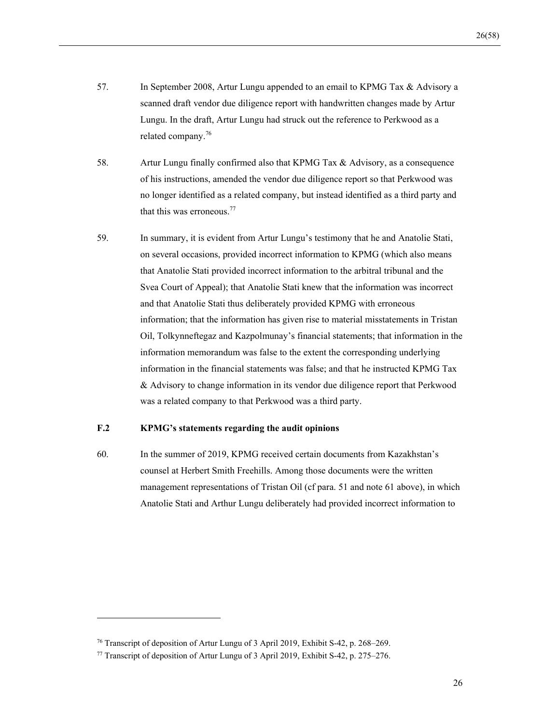- 57. In September 2008, Artur Lungu appended to an email to KPMG Tax & Advisory a scanned draft vendor due diligence report with handwritten changes made by Artur Lungu. In the draft, Artur Lungu had struck out the reference to Perkwood as a related company.76
- 58. Artur Lungu finally confirmed also that KPMG Tax & Advisory, as a consequence of his instructions, amended the vendor due diligence report so that Perkwood was no longer identified as a related company, but instead identified as a third party and that this was erroneous.<sup>77</sup>
- 59. In summary, it is evident from Artur Lungu's testimony that he and Anatolie Stati, on several occasions, provided incorrect information to KPMG (which also means that Anatolie Stati provided incorrect information to the arbitral tribunal and the Svea Court of Appeal); that Anatolie Stati knew that the information was incorrect and that Anatolie Stati thus deliberately provided KPMG with erroneous information; that the information has given rise to material misstatements in Tristan Oil, Tolkynneftegaz and Kazpolmunay's financial statements; that information in the information memorandum was false to the extent the corresponding underlying information in the financial statements was false; and that he instructed KPMG Tax & Advisory to change information in its vendor due diligence report that Perkwood was a related company to that Perkwood was a third party.

## **F.2 KPMG's statements regarding the audit opinions**

60. In the summer of 2019, KPMG received certain documents from Kazakhstan's counsel at Herbert Smith Freehills. Among those documents were the written management representations of Tristan Oil (cf para. 51 and note 61 above), in which Anatolie Stati and Arthur Lungu deliberately had provided incorrect information to

<sup>76</sup> Transcript of deposition of Artur Lungu of 3 April 2019, Exhibit S-42, p. 268–269.

<sup>77</sup> Transcript of deposition of Artur Lungu of 3 April 2019, Exhibit S-42, p. 275–276.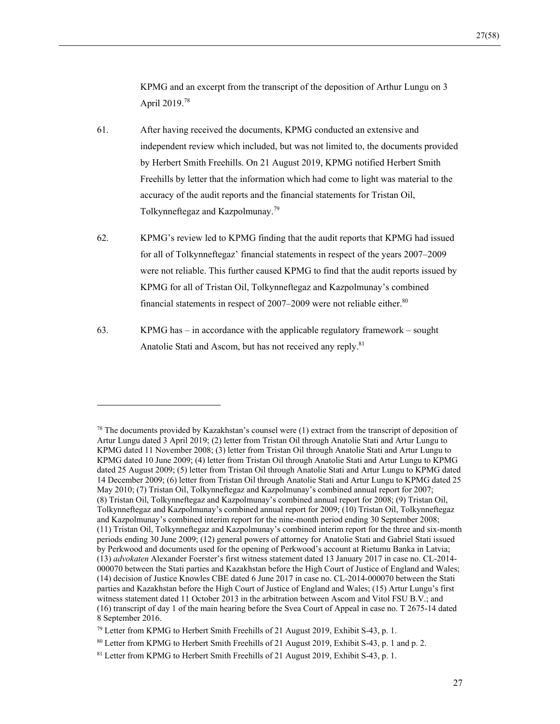KPMG and an excerpt from the transcript of the deposition of Arthur Lungu on 3 April 2019.<sup>78</sup>

- 61. After having received the documents, KPMG conducted an extensive and independent review which included, but was not limited to, the documents provided by Herbert Smith Freehills. On 21 August 2019, KPMG notified Herbert Smith Freehills by letter that the information which had come to light was material to the accuracy of the audit reports and the financial statements for Tristan Oil, Tolkynneftegaz and Kazpolmunay.<sup>79</sup>
- 62. KPMG's review led to KPMG finding that the audit reports that KPMG had issued for all of Tolkynneftegaz' financial statements in respect of the years 2007–2009 were not reliable. This further caused KPMG to find that the audit reports issued by KPMG for all of Tristan Oil, Tolkynneftegaz and Kazpolmunay's combined financial statements in respect of  $2007-2009$  were not reliable either.<sup>80</sup>
- 63. KPMG has in accordance with the applicable regulatory framework sought Anatolie Stati and Ascom, but has not received any reply.<sup>81</sup>

 $78$  The documents provided by Kazakhstan's counsel were (1) extract from the transcript of deposition of Artur Lungu dated 3 April 2019; (2) letter from Tristan Oil through Anatolie Stati and Artur Lungu to KPMG dated 11 November 2008; (3) letter from Tristan Oil through Anatolie Stati and Artur Lungu to KPMG dated 10 June 2009; (4) letter from Tristan Oil through Anatolie Stati and Artur Lungu to KPMG dated 25 August 2009; (5) letter from Tristan Oil through Anatolie Stati and Artur Lungu to KPMG dated 14 December 2009; (6) letter from Tristan Oil through Anatolie Stati and Artur Lungu to KPMG dated 25 May 2010; (7) Tristan Oil, Tolkynneftegaz and Kazpolmunay's combined annual report for 2007; (8) Tristan Oil, Tolkynneftegaz and Kazpolmunay's combined annual report for 2008; (9) Tristan Oil, Tolkynneftegaz and Kazpolmunay's combined annual report for 2009; (10) Tristan Oil, Tolkynneftegaz and Kazpolmunay's combined interim report for the nine-month period ending 30 September 2008; (11) Tristan Oil, Tolkynneftegaz and Kazpolmunay's combined interim report for the three and six-month periods ending 30 June 2009; (12) general powers of attorney for Anatolie Stati and Gabriel Stati issued by Perkwood and documents used for the opening of Perkwood's account at Rietumu Banka in Latvia; (13) *advokaten* Alexander Foerster's first witness statement dated 13 January 2017 in case no. CL-2014- 000070 between the Stati parties and Kazakhstan before the High Court of Justice of England and Wales; (14) decision of Justice Knowles CBE dated 6 June 2017 in case no. CL-2014-000070 between the Stati parties and Kazakhstan before the High Court of Justice of England and Wales; (15) Artur Lungu's first witness statement dated 11 October 2013 in the arbitration between Ascom and Vitol FSU B.V.; and (16) transcript of day 1 of the main hearing before the Svea Court of Appeal in case no. T 2675-14 dated 8 September 2016.

<sup>79</sup> Letter from KPMG to Herbert Smith Freehills of 21 August 2019, Exhibit S-43, p. 1.

<sup>80</sup> Letter from KPMG to Herbert Smith Freehills of 21 August 2019, Exhibit S-43, p. 1 and p. 2.

<sup>&</sup>lt;sup>81</sup> Letter from KPMG to Herbert Smith Freehills of 21 August 2019, Exhibit S-43, p. 1.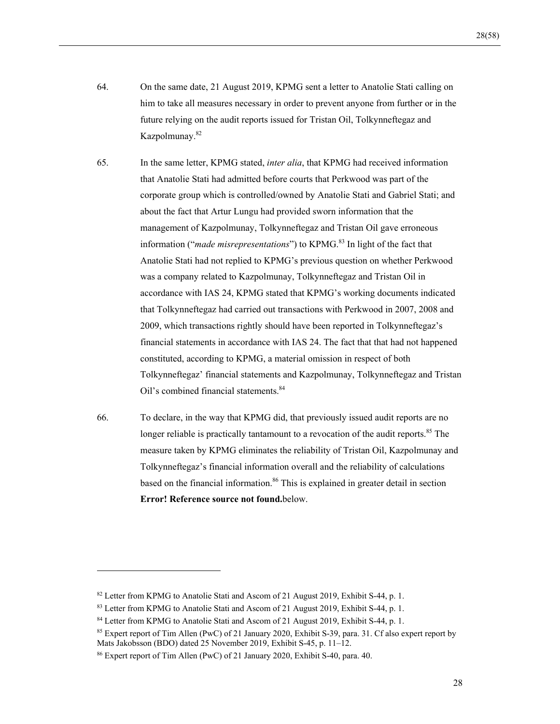- 64. On the same date, 21 August 2019, KPMG sent a letter to Anatolie Stati calling on him to take all measures necessary in order to prevent anyone from further or in the future relying on the audit reports issued for Tristan Oil, Tolkynneftegaz and Kazpolmunay.82
- 65. In the same letter, KPMG stated, *inter alia*, that KPMG had received information that Anatolie Stati had admitted before courts that Perkwood was part of the corporate group which is controlled/owned by Anatolie Stati and Gabriel Stati; and about the fact that Artur Lungu had provided sworn information that the management of Kazpolmunay, Tolkynneftegaz and Tristan Oil gave erroneous information ("*made misrepresentations*") to KPMG.<sup>83</sup> In light of the fact that Anatolie Stati had not replied to KPMG's previous question on whether Perkwood was a company related to Kazpolmunay, Tolkynneftegaz and Tristan Oil in accordance with IAS 24, KPMG stated that KPMG's working documents indicated that Tolkynneftegaz had carried out transactions with Perkwood in 2007, 2008 and 2009, which transactions rightly should have been reported in Tolkynneftegaz's financial statements in accordance with IAS 24. The fact that that had not happened constituted, according to KPMG, a material omission in respect of both Tolkynneftegaz' financial statements and Kazpolmunay, Tolkynneftegaz and Tristan Oil's combined financial statements.<sup>84</sup>
- 66. To declare, in the way that KPMG did, that previously issued audit reports are no longer reliable is practically tantamount to a revocation of the audit reports.<sup>85</sup> The measure taken by KPMG eliminates the reliability of Tristan Oil, Kazpolmunay and Tolkynneftegaz's financial information overall and the reliability of calculations based on the financial information.<sup>86</sup> This is explained in greater detail in section **Error! Reference source not found.**below.

<sup>&</sup>lt;sup>82</sup> Letter from KPMG to Anatolie Stati and Ascom of 21 August 2019, Exhibit S-44, p. 1.

<sup>83</sup> Letter from KPMG to Anatolie Stati and Ascom of 21 August 2019, Exhibit S-44, p. 1.

<sup>&</sup>lt;sup>84</sup> Letter from KPMG to Anatolie Stati and Ascom of 21 August 2019, Exhibit S-44, p. 1.

<sup>85</sup> Expert report of Tim Allen (PwC) of 21 January 2020, Exhibit S-39, para. 31. Cf also expert report by Mats Jakobsson (BDO) dated 25 November 2019, Exhibit S-45, p. 11–12.

<sup>86</sup> Expert report of Tim Allen (PwC) of 21 January 2020, Exhibit S-40, para. 40.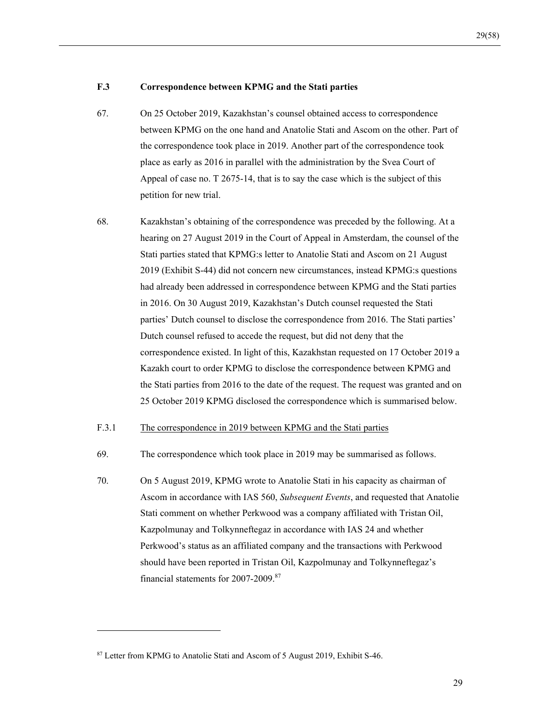#### **F.3 Correspondence between KPMG and the Stati parties**

- 67. On 25 October 2019, Kazakhstan's counsel obtained access to correspondence between KPMG on the one hand and Anatolie Stati and Ascom on the other. Part of the correspondence took place in 2019. Another part of the correspondence took place as early as 2016 in parallel with the administration by the Svea Court of Appeal of case no. T 2675-14, that is to say the case which is the subject of this petition for new trial.
- 68. Kazakhstan's obtaining of the correspondence was preceded by the following. At a hearing on 27 August 2019 in the Court of Appeal in Amsterdam, the counsel of the Stati parties stated that KPMG:s letter to Anatolie Stati and Ascom on 21 August 2019 (Exhibit S-44) did not concern new circumstances, instead KPMG:s questions had already been addressed in correspondence between KPMG and the Stati parties in 2016. On 30 August 2019, Kazakhstan's Dutch counsel requested the Stati parties' Dutch counsel to disclose the correspondence from 2016. The Stati parties' Dutch counsel refused to accede the request, but did not deny that the correspondence existed. In light of this, Kazakhstan requested on 17 October 2019 a Kazakh court to order KPMG to disclose the correspondence between KPMG and the Stati parties from 2016 to the date of the request. The request was granted and on 25 October 2019 KPMG disclosed the correspondence which is summarised below.

### F.3.1 The correspondence in 2019 between KPMG and the Stati parties

- 69. The correspondence which took place in 2019 may be summarised as follows.
- 70. On 5 August 2019, KPMG wrote to Anatolie Stati in his capacity as chairman of Ascom in accordance with IAS 560, *Subsequent Events*, and requested that Anatolie Stati comment on whether Perkwood was a company affiliated with Tristan Oil, Kazpolmunay and Tolkynneftegaz in accordance with IAS 24 and whether Perkwood's status as an affiliated company and the transactions with Perkwood should have been reported in Tristan Oil, Kazpolmunay and Tolkynneftegaz's financial statements for 2007-2009.87

<sup>87</sup> Letter from KPMG to Anatolie Stati and Ascom of 5 August 2019, Exhibit S-46.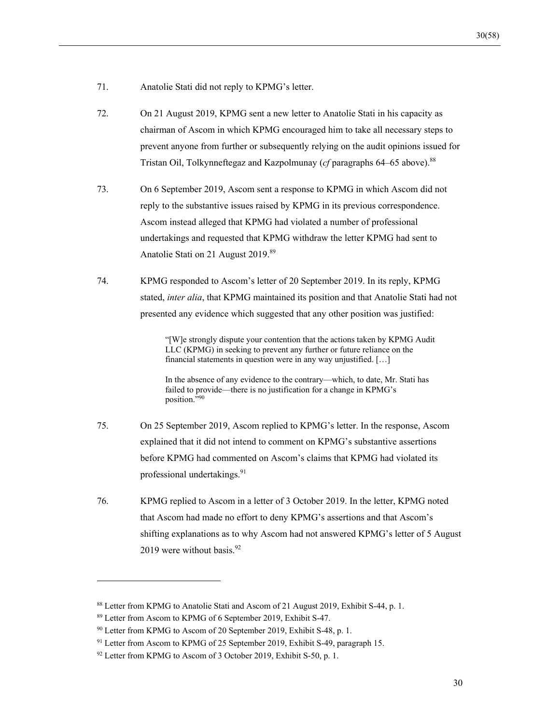- 71. Anatolie Stati did not reply to KPMG's letter.
- 72. On 21 August 2019, KPMG sent a new letter to Anatolie Stati in his capacity as chairman of Ascom in which KPMG encouraged him to take all necessary steps to prevent anyone from further or subsequently relying on the audit opinions issued for Tristan Oil, Tolkynneftegaz and Kazpolmunay (*cf* paragraphs 64–65 above).88
- 73. On 6 September 2019, Ascom sent a response to KPMG in which Ascom did not reply to the substantive issues raised by KPMG in its previous correspondence. Ascom instead alleged that KPMG had violated a number of professional undertakings and requested that KPMG withdraw the letter KPMG had sent to Anatolie Stati on 21 August 2019.<sup>89</sup>
- 74. KPMG responded to Ascom's letter of 20 September 2019. In its reply, KPMG stated, *inter alia*, that KPMG maintained its position and that Anatolie Stati had not presented any evidence which suggested that any other position was justified:

"[W]e strongly dispute your contention that the actions taken by KPMG Audit LLC (KPMG) in seeking to prevent any further or future reliance on the financial statements in question were in any way unjustified. […]

In the absence of any evidence to the contrary—which, to date, Mr. Stati has failed to provide—there is no justification for a change in KPMG's position."90

- 75. On 25 September 2019, Ascom replied to KPMG's letter. In the response, Ascom explained that it did not intend to comment on KPMG's substantive assertions before KPMG had commented on Ascom's claims that KPMG had violated its professional undertakings.<sup>91</sup>
- 76. KPMG replied to Ascom in a letter of 3 October 2019. In the letter, KPMG noted that Ascom had made no effort to deny KPMG's assertions and that Ascom's shifting explanations as to why Ascom had not answered KPMG's letter of 5 August 2019 were without basis.  $92$

<sup>88</sup> Letter from KPMG to Anatolie Stati and Ascom of 21 August 2019, Exhibit S-44, p. 1.

<sup>89</sup> Letter from Ascom to KPMG of 6 September 2019, Exhibit S-47.

<sup>&</sup>lt;sup>90</sup> Letter from KPMG to Ascom of 20 September 2019, Exhibit S-48, p. 1.

<sup>&</sup>lt;sup>91</sup> Letter from Ascom to KPMG of 25 September 2019, Exhibit S-49, paragraph 15.

 $92$  Letter from KPMG to Ascom of 3 October 2019, Exhibit S-50, p. 1.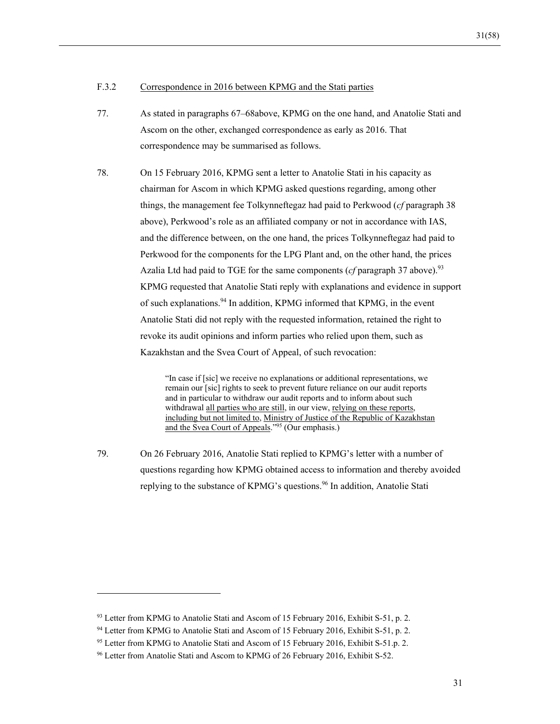#### F.3.2 Correspondence in 2016 between KPMG and the Stati parties

- 77. As stated in paragraphs 67–68above, KPMG on the one hand, and Anatolie Stati and Ascom on the other, exchanged correspondence as early as 2016. That correspondence may be summarised as follows.
- 78. On 15 February 2016, KPMG sent a letter to Anatolie Stati in his capacity as chairman for Ascom in which KPMG asked questions regarding, among other things, the management fee Tolkynneftegaz had paid to Perkwood (*cf* paragraph 38 above), Perkwood's role as an affiliated company or not in accordance with IAS, and the difference between, on the one hand, the prices Tolkynneftegaz had paid to Perkwood for the components for the LPG Plant and, on the other hand, the prices Azalia Ltd had paid to TGE for the same components (*cf* paragraph 37 above).<sup>93</sup> KPMG requested that Anatolie Stati reply with explanations and evidence in support of such explanations.<sup>94</sup> In addition, KPMG informed that KPMG, in the event Anatolie Stati did not reply with the requested information, retained the right to revoke its audit opinions and inform parties who relied upon them, such as Kazakhstan and the Svea Court of Appeal, of such revocation:

"In case if [sic] we receive no explanations or additional representations, we remain our [sic] rights to seek to prevent future reliance on our audit reports and in particular to withdraw our audit reports and to inform about such withdrawal all parties who are still, in our view, relying on these reports, including but not limited to, Ministry of Justice of the Republic of Kazakhstan and the Svea Court of Appeals."95 (Our emphasis.)

79. On 26 February 2016, Anatolie Stati replied to KPMG's letter with a number of questions regarding how KPMG obtained access to information and thereby avoided replying to the substance of KPMG's questions.<sup>96</sup> In addition, Anatolie Stati

<sup>93</sup> Letter from KPMG to Anatolie Stati and Ascom of 15 February 2016, Exhibit S-51, p. 2.

<sup>&</sup>lt;sup>94</sup> Letter from KPMG to Anatolie Stati and Ascom of 15 February 2016, Exhibit S-51, p. 2.

<sup>&</sup>lt;sup>95</sup> Letter from KPMG to Anatolie Stati and Ascom of 15 February 2016, Exhibit S-51.p. 2.

<sup>96</sup> Letter from Anatolie Stati and Ascom to KPMG of 26 February 2016, Exhibit S-52.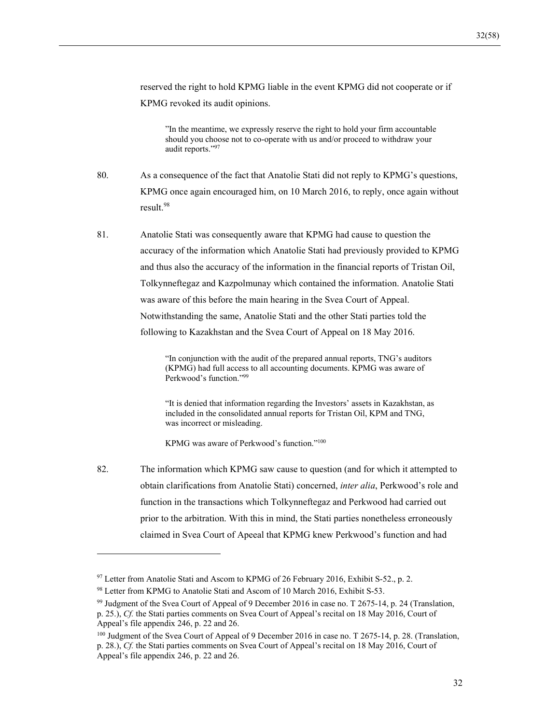reserved the right to hold KPMG liable in the event KPMG did not cooperate or if KPMG revoked its audit opinions.

"In the meantime, we expressly reserve the right to hold your firm accountable should you choose not to co-operate with us and/or proceed to withdraw your audit reports."97

80. As a consequence of the fact that Anatolie Stati did not reply to KPMG's questions, KPMG once again encouraged him, on 10 March 2016, to reply, once again without result.<sup>98</sup>

81. Anatolie Stati was consequently aware that KPMG had cause to question the accuracy of the information which Anatolie Stati had previously provided to KPMG and thus also the accuracy of the information in the financial reports of Tristan Oil, Tolkynneftegaz and Kazpolmunay which contained the information. Anatolie Stati was aware of this before the main hearing in the Svea Court of Appeal. Notwithstanding the same, Anatolie Stati and the other Stati parties told the following to Kazakhstan and the Svea Court of Appeal on 18 May 2016.

> "In conjunction with the audit of the prepared annual reports, TNG's auditors (KPMG) had full access to all accounting documents. KPMG was aware of Perkwood's function."99

> "It is denied that information regarding the Investors' assets in Kazakhstan, as included in the consolidated annual reports for Tristan Oil, KPM and TNG, was incorrect or misleading.

KPMG was aware of Perkwood's function."100

82. The information which KPMG saw cause to question (and for which it attempted to obtain clarifications from Anatolie Stati) concerned, *inter alia*, Perkwood's role and function in the transactions which Tolkynneftegaz and Perkwood had carried out prior to the arbitration. With this in mind, the Stati parties nonetheless erroneously claimed in Svea Court of Apeeal that KPMG knew Perkwood's function and had

<sup>&</sup>lt;sup>97</sup> Letter from Anatolie Stati and Ascom to KPMG of 26 February 2016, Exhibit S-52., p. 2.

<sup>&</sup>lt;sup>98</sup> Letter from KPMG to Anatolie Stati and Ascom of 10 March 2016, Exhibit S-53.

<sup>99</sup> Judgment of the Svea Court of Appeal of 9 December 2016 in case no. T 2675-14, p. 24 (Translation, p. 25.), *Cf.* the Stati parties comments on Svea Court of Appeal's recital on 18 May 2016, Court of Appeal's file appendix 246, p. 22 and 26.

<sup>&</sup>lt;sup>100</sup> Judgment of the Svea Court of Appeal of 9 December 2016 in case no. T 2675-14, p. 28. (Translation, p. 28.), *Cf.* the Stati parties comments on Svea Court of Appeal's recital on 18 May 2016, Court of Appeal's file appendix 246, p. 22 and 26.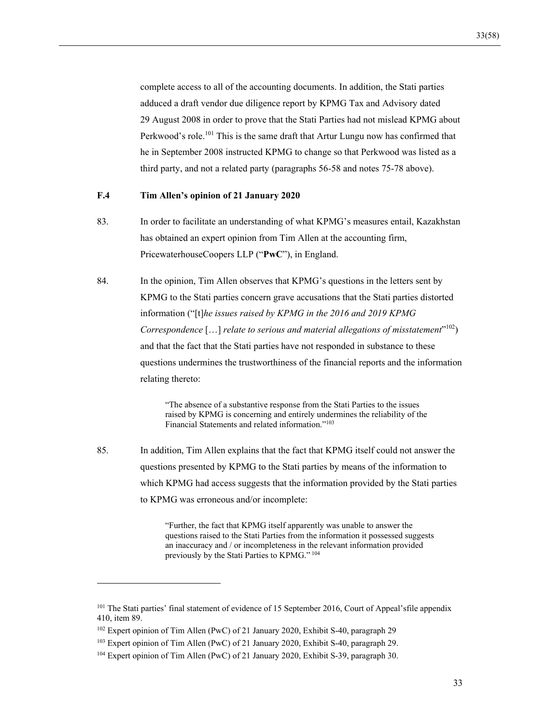complete access to all of the accounting documents. In addition, the Stati parties adduced a draft vendor due diligence report by KPMG Tax and Advisory dated 29 August 2008 in order to prove that the Stati Parties had not mislead KPMG about Perkwood's role.<sup>101</sup> This is the same draft that Artur Lungu now has confirmed that he in September 2008 instructed KPMG to change so that Perkwood was listed as a third party, and not a related party (paragraphs 56-58 and notes 75-78 above).

#### **F.4 Tim Allen's opinion of 21 January 2020**

- 83. In order to facilitate an understanding of what KPMG's measures entail, Kazakhstan has obtained an expert opinion from Tim Allen at the accounting firm, PricewaterhouseCoopers LLP ("**PwC**"), in England.
- 84. In the opinion, Tim Allen observes that KPMG's questions in the letters sent by KPMG to the Stati parties concern grave accusations that the Stati parties distorted information ("[t]*he issues raised by KPMG in the 2016 and 2019 KPMG Correspondence* […] *relate to serious and material allegations of misstatement*"102) and that the fact that the Stati parties have not responded in substance to these questions undermines the trustworthiness of the financial reports and the information relating thereto:

"The absence of a substantive response from the Stati Parties to the issues raised by KPMG is concerning and entirely undermines the reliability of the Financial Statements and related information."103

85. In addition, Tim Allen explains that the fact that KPMG itself could not answer the questions presented by KPMG to the Stati parties by means of the information to which KPMG had access suggests that the information provided by the Stati parties to KPMG was erroneous and/or incomplete:

> "Further, the fact that KPMG itself apparently was unable to answer the questions raised to the Stati Parties from the information it possessed suggests an inaccuracy and / or incompleteness in the relevant information provided previously by the Stati Parties to KPMG." 104

<sup>&</sup>lt;sup>101</sup> The Stati parties' final statement of evidence of 15 September 2016, Court of Appeal'sfile appendix 410, item 89.

<sup>102</sup> Expert opinion of Tim Allen (PwC) of 21 January 2020, Exhibit S-40, paragraph 29

<sup>103</sup> Expert opinion of Tim Allen (PwC) of 21 January 2020, Exhibit S-40, paragraph 29.

<sup>&</sup>lt;sup>104</sup> Expert opinion of Tim Allen (PwC) of 21 January 2020, Exhibit S-39, paragraph 30.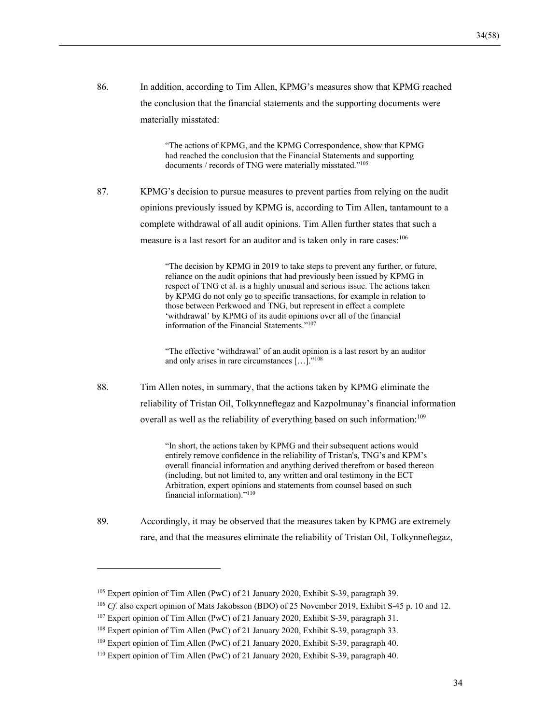86. In addition, according to Tim Allen, KPMG's measures show that KPMG reached the conclusion that the financial statements and the supporting documents were materially misstated:

> "The actions of KPMG, and the KPMG Correspondence, show that KPMG had reached the conclusion that the Financial Statements and supporting documents / records of TNG were materially misstated."105

87. KPMG's decision to pursue measures to prevent parties from relying on the audit opinions previously issued by KPMG is, according to Tim Allen, tantamount to a complete withdrawal of all audit opinions. Tim Allen further states that such a measure is a last resort for an auditor and is taken only in rare cases:<sup>106</sup>

> "The decision by KPMG in 2019 to take steps to prevent any further, or future, reliance on the audit opinions that had previously been issued by KPMG in respect of TNG et al. is a highly unusual and serious issue. The actions taken by KPMG do not only go to specific transactions, for example in relation to those between Perkwood and TNG, but represent in effect a complete 'withdrawal' by KPMG of its audit opinions over all of the financial information of the Financial Statements."107

"The effective 'withdrawal' of an audit opinion is a last resort by an auditor and only arises in rare circumstances […]."108

88. Tim Allen notes, in summary, that the actions taken by KPMG eliminate the reliability of Tristan Oil, Tolkynneftegaz and Kazpolmunay's financial information overall as well as the reliability of everything based on such information:<sup>109</sup>

> "In short, the actions taken by KPMG and their subsequent actions would entirely remove confidence in the reliability of Tristan's, TNG's and KPM's overall financial information and anything derived therefrom or based thereon (including, but not limited to, any written and oral testimony in the ECT Arbitration, expert opinions and statements from counsel based on such financial information)."110

89. Accordingly, it may be observed that the measures taken by KPMG are extremely rare, and that the measures eliminate the reliability of Tristan Oil, Tolkynneftegaz,

<sup>105</sup> Expert opinion of Tim Allen (PwC) of 21 January 2020, Exhibit S-39, paragraph 39.

<sup>106</sup> *Cf.* also expert opinion of Mats Jakobsson (BDO) of 25 November 2019, Exhibit S-45 p. 10 and 12.

<sup>107</sup> Expert opinion of Tim Allen (PwC) of 21 January 2020, Exhibit S-39, paragraph 31.

<sup>108</sup> Expert opinion of Tim Allen (PwC) of 21 January 2020, Exhibit S-39, paragraph 33.

<sup>109</sup> Expert opinion of Tim Allen (PwC) of 21 January 2020, Exhibit S-39, paragraph 40.

<sup>110</sup> Expert opinion of Tim Allen (PwC) of 21 January 2020, Exhibit S-39, paragraph 40.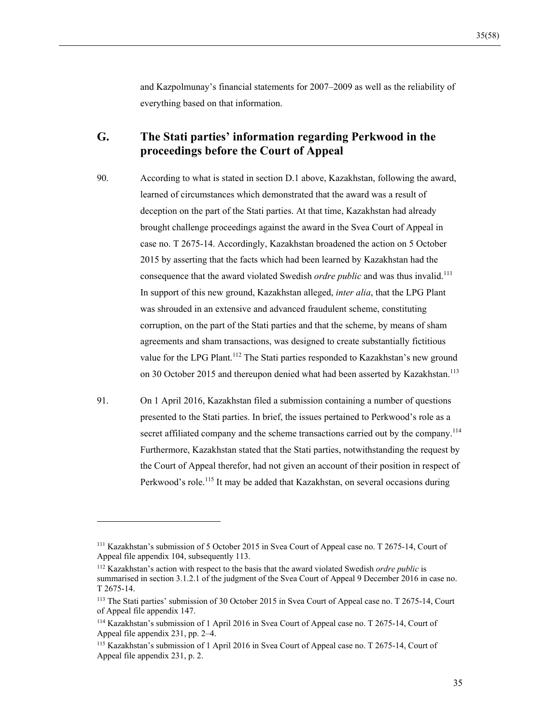and Kazpolmunay's financial statements for 2007–2009 as well as the reliability of everything based on that information.

## **G. The Stati parties' information regarding Perkwood in the proceedings before the Court of Appeal**

- 90. According to what is stated in section D.1 above, Kazakhstan, following the award, learned of circumstances which demonstrated that the award was a result of deception on the part of the Stati parties. At that time, Kazakhstan had already brought challenge proceedings against the award in the Svea Court of Appeal in case no. T 2675-14. Accordingly, Kazakhstan broadened the action on 5 October 2015 by asserting that the facts which had been learned by Kazakhstan had the consequence that the award violated Swedish *ordre public* and was thus invalid.<sup>111</sup> In support of this new ground, Kazakhstan alleged, *inter alia*, that the LPG Plant was shrouded in an extensive and advanced fraudulent scheme, constituting corruption, on the part of the Stati parties and that the scheme, by means of sham agreements and sham transactions, was designed to create substantially fictitious value for the LPG Plant.<sup>112</sup> The Stati parties responded to Kazakhstan's new ground on 30 October 2015 and thereupon denied what had been asserted by Kazakhstan.<sup>113</sup>
- 91. On 1 April 2016, Kazakhstan filed a submission containing a number of questions presented to the Stati parties. In brief, the issues pertained to Perkwood's role as a secret affiliated company and the scheme transactions carried out by the company.<sup>114</sup> Furthermore, Kazakhstan stated that the Stati parties, notwithstanding the request by the Court of Appeal therefor, had not given an account of their position in respect of Perkwood's role.<sup>115</sup> It may be added that Kazakhstan, on several occasions during

<sup>111</sup> Kazakhstan's submission of 5 October 2015 in Svea Court of Appeal case no. T 2675-14, Court of Appeal file appendix 104, subsequently 113.

<sup>112</sup> Kazakhstan's action with respect to the basis that the award violated Swedish *ordre public* is summarised in section 3.1.2.1 of the judgment of the Svea Court of Appeal 9 December 2016 in case no. T 2675-14.

<sup>113</sup> The Stati parties' submission of 30 October 2015 in Svea Court of Appeal case no. T 2675-14, Court of Appeal file appendix 147.

<sup>114</sup> Kazakhstan's submission of 1 April 2016 in Svea Court of Appeal case no. T 2675-14, Court of Appeal file appendix 231, pp. 2–4.

<sup>115</sup> Kazakhstan's submission of 1 April 2016 in Svea Court of Appeal case no. T 2675-14, Court of Appeal file appendix 231, p. 2.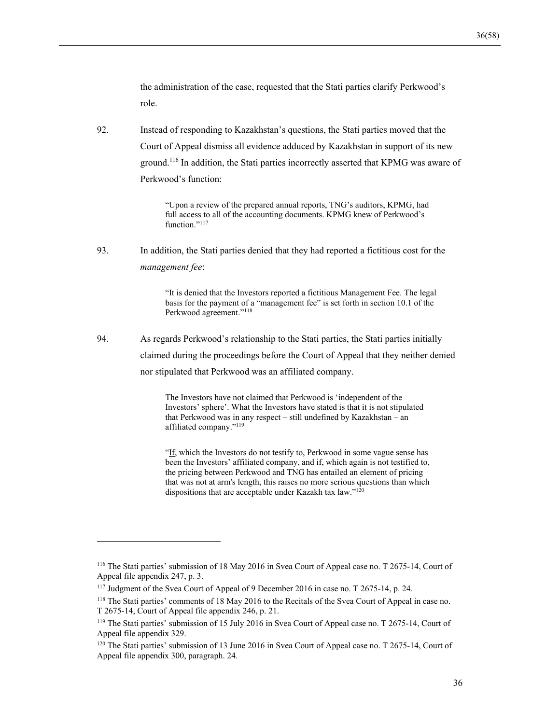the administration of the case, requested that the Stati parties clarify Perkwood's role.

92. Instead of responding to Kazakhstan's questions, the Stati parties moved that the Court of Appeal dismiss all evidence adduced by Kazakhstan in support of its new ground.116 In addition, the Stati parties incorrectly asserted that KPMG was aware of Perkwood's function:

> "Upon a review of the prepared annual reports, TNG's auditors, KPMG, had full access to all of the accounting documents. KPMG knew of Perkwood's function."<sup>117</sup>

93. In addition, the Stati parties denied that they had reported a fictitious cost for the *management fee*:

> "It is denied that the Investors reported a fictitious Management Fee. The legal basis for the payment of a "management fee" is set forth in section 10.1 of the Perkwood agreement."118

94. As regards Perkwood's relationship to the Stati parties, the Stati parties initially claimed during the proceedings before the Court of Appeal that they neither denied nor stipulated that Perkwood was an affiliated company.

> The Investors have not claimed that Perkwood is 'independent of the Investors' sphere'. What the Investors have stated is that it is not stipulated that Perkwood was in any respect – still undefined by Kazakhstan – an affiliated company."119

"If, which the Investors do not testify to, Perkwood in some vague sense has been the Investors' affiliated company, and if, which again is not testified to, the pricing between Perkwood and TNG has entailed an element of pricing that was not at arm's length, this raises no more serious questions than which dispositions that are acceptable under Kazakh tax law." $120$ 

<sup>116</sup> The Stati parties' submission of 18 May 2016 in Svea Court of Appeal case no. T 2675-14, Court of Appeal file appendix 247, p. 3.

<sup>117</sup> Judgment of the Svea Court of Appeal of 9 December 2016 in case no. T 2675-14, p. 24.

<sup>118</sup> The Stati parties' comments of 18 May 2016 to the Recitals of the Svea Court of Appeal in case no. T 2675-14, Court of Appeal file appendix 246, p. 21.

<sup>119</sup> The Stati parties' submission of 15 July 2016 in Svea Court of Appeal case no. T 2675-14, Court of Appeal file appendix 329.

<sup>120</sup> The Stati parties' submission of 13 June 2016 in Svea Court of Appeal case no. T 2675-14, Court of Appeal file appendix 300, paragraph. 24.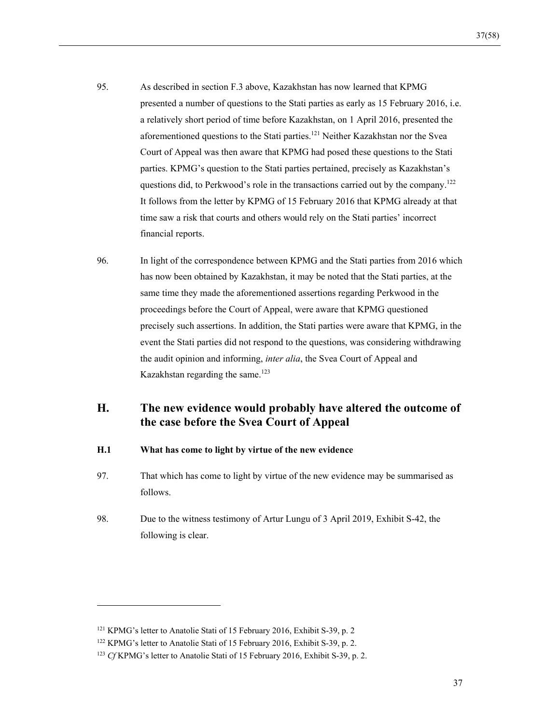- 95. As described in section F.3 above, Kazakhstan has now learned that KPMG presented a number of questions to the Stati parties as early as 15 February 2016, i.e. a relatively short period of time before Kazakhstan, on 1 April 2016, presented the aforementioned questions to the Stati parties.<sup>121</sup> Neither Kazakhstan nor the Svea Court of Appeal was then aware that KPMG had posed these questions to the Stati parties. KPMG's question to the Stati parties pertained, precisely as Kazakhstan's questions did, to Perkwood's role in the transactions carried out by the company.<sup>122</sup> It follows from the letter by KPMG of 15 February 2016 that KPMG already at that time saw a risk that courts and others would rely on the Stati parties' incorrect financial reports.
- 96. In light of the correspondence between KPMG and the Stati parties from 2016 which has now been obtained by Kazakhstan, it may be noted that the Stati parties, at the same time they made the aforementioned assertions regarding Perkwood in the proceedings before the Court of Appeal, were aware that KPMG questioned precisely such assertions. In addition, the Stati parties were aware that KPMG, in the event the Stati parties did not respond to the questions, was considering withdrawing the audit opinion and informing, *inter alia*, the Svea Court of Appeal and Kazakhstan regarding the same.<sup>123</sup>

# **H. The new evidence would probably have altered the outcome of the case before the Svea Court of Appeal**

- **H.1 What has come to light by virtue of the new evidence**
- 97. That which has come to light by virtue of the new evidence may be summarised as follows.
- 98. Due to the witness testimony of Artur Lungu of 3 April 2019, Exhibit S-42, the following is clear.

<sup>121</sup> KPMG's letter to Anatolie Stati of 15 February 2016, Exhibit S-39, p. 2

<sup>122</sup> KPMG's letter to Anatolie Stati of 15 February 2016, Exhibit S-39, p. 2.

<sup>123</sup> *Cf* KPMG's letter to Anatolie Stati of 15 February 2016, Exhibit S-39, p. 2.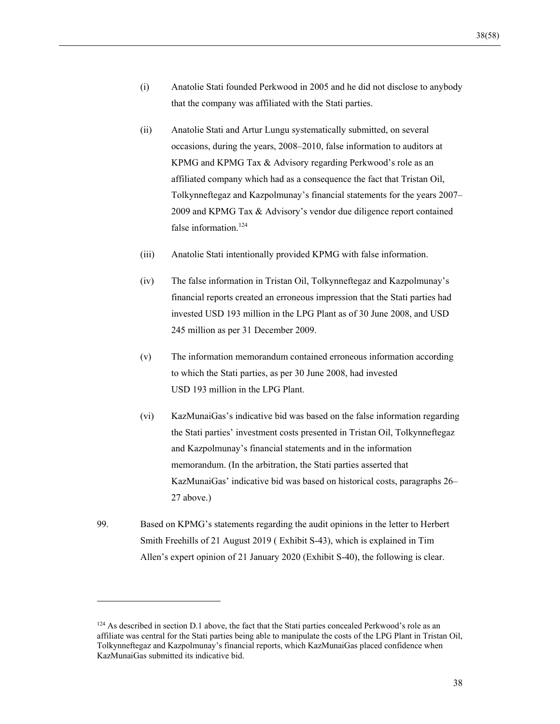- (i) Anatolie Stati founded Perkwood in 2005 and he did not disclose to anybody that the company was affiliated with the Stati parties.
- (ii) Anatolie Stati and Artur Lungu systematically submitted, on several occasions, during the years, 2008–2010, false information to auditors at KPMG and KPMG Tax & Advisory regarding Perkwood's role as an affiliated company which had as a consequence the fact that Tristan Oil, Tolkynneftegaz and Kazpolmunay's financial statements for the years 2007– 2009 and KPMG Tax & Advisory's vendor due diligence report contained false information.<sup>124</sup>
- (iii) Anatolie Stati intentionally provided KPMG with false information.
- (iv) The false information in Tristan Oil, Tolkynneftegaz and Kazpolmunay's financial reports created an erroneous impression that the Stati parties had invested USD 193 million in the LPG Plant as of 30 June 2008, and USD 245 million as per 31 December 2009.
- (v) The information memorandum contained erroneous information according to which the Stati parties, as per 30 June 2008, had invested USD 193 million in the LPG Plant.
- (vi) KazMunaiGas's indicative bid was based on the false information regarding the Stati parties' investment costs presented in Tristan Oil, Tolkynneftegaz and Kazpolmunay's financial statements and in the information memorandum. (In the arbitration, the Stati parties asserted that KazMunaiGas' indicative bid was based on historical costs, paragraphs 26– 27 above.)
- 99. Based on KPMG's statements regarding the audit opinions in the letter to Herbert Smith Freehills of 21 August 2019 ( Exhibit S-43), which is explained in Tim Allen's expert opinion of 21 January 2020 (Exhibit S-40), the following is clear.

 $124$  As described in section D.1 above, the fact that the Stati parties concealed Perkwood's role as an affiliate was central for the Stati parties being able to manipulate the costs of the LPG Plant in Tristan Oil, Tolkynneftegaz and Kazpolmunay's financial reports, which KazMunaiGas placed confidence when KazMunaiGas submitted its indicative bid.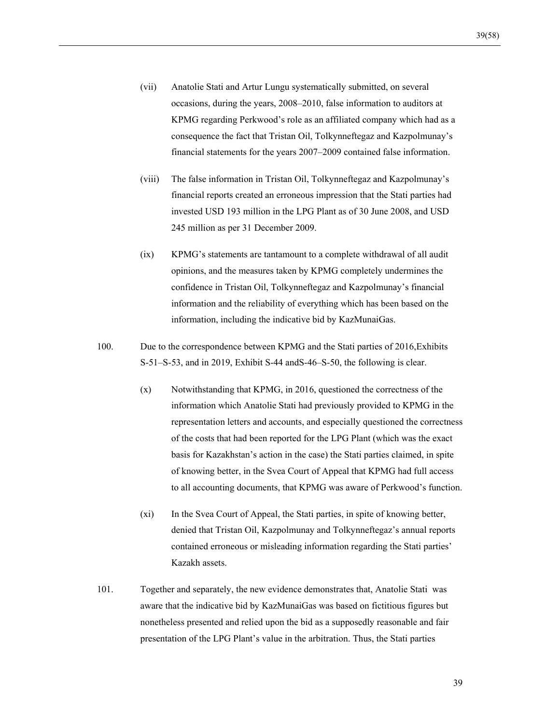- (vii) Anatolie Stati and Artur Lungu systematically submitted, on several occasions, during the years, 2008–2010, false information to auditors at KPMG regarding Perkwood's role as an affiliated company which had as a consequence the fact that Tristan Oil, Tolkynneftegaz and Kazpolmunay's financial statements for the years 2007–2009 contained false information.
- (viii) The false information in Tristan Oil, Tolkynneftegaz and Kazpolmunay's financial reports created an erroneous impression that the Stati parties had invested USD 193 million in the LPG Plant as of 30 June 2008, and USD 245 million as per 31 December 2009.
- (ix) KPMG's statements are tantamount to a complete withdrawal of all audit opinions, and the measures taken by KPMG completely undermines the confidence in Tristan Oil, Tolkynneftegaz and Kazpolmunay's financial information and the reliability of everything which has been based on the information, including the indicative bid by KazMunaiGas.
- 100. Due to the correspondence between KPMG and the Stati parties of 2016,Exhibits S-51–S-53, and in 2019, Exhibit S-44 andS-46–S-50, the following is clear.
	- (x) Notwithstanding that KPMG, in 2016, questioned the correctness of the information which Anatolie Stati had previously provided to KPMG in the representation letters and accounts, and especially questioned the correctness of the costs that had been reported for the LPG Plant (which was the exact basis for Kazakhstan's action in the case) the Stati parties claimed, in spite of knowing better, in the Svea Court of Appeal that KPMG had full access to all accounting documents, that KPMG was aware of Perkwood's function.
	- (xi) In the Svea Court of Appeal, the Stati parties, in spite of knowing better, denied that Tristan Oil, Kazpolmunay and Tolkynneftegaz's annual reports contained erroneous or misleading information regarding the Stati parties' Kazakh assets.
- 101. Together and separately, the new evidence demonstrates that, Anatolie Stati was aware that the indicative bid by KazMunaiGas was based on fictitious figures but nonetheless presented and relied upon the bid as a supposedly reasonable and fair presentation of the LPG Plant's value in the arbitration. Thus, the Stati parties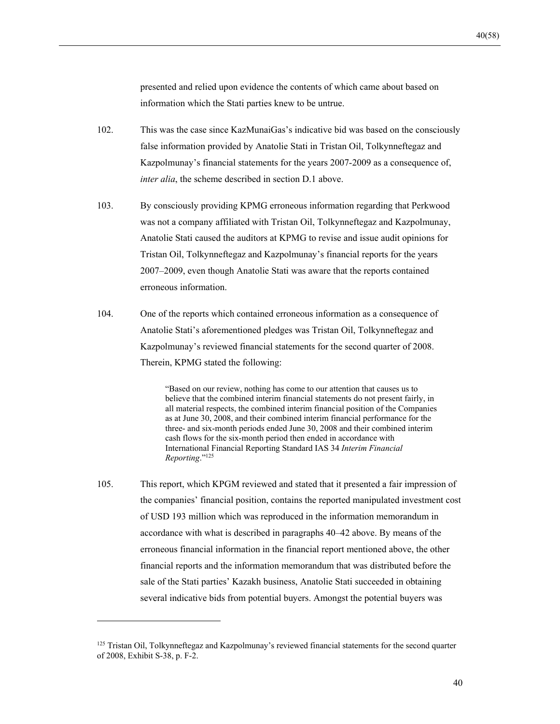presented and relied upon evidence the contents of which came about based on information which the Stati parties knew to be untrue.

- 102. This was the case since KazMunaiGas's indicative bid was based on the consciously false information provided by Anatolie Stati in Tristan Oil, Tolkynneftegaz and Kazpolmunay's financial statements for the years 2007-2009 as a consequence of, *inter alia*, the scheme described in section D.1 above.
- 103. By consciously providing KPMG erroneous information regarding that Perkwood was not a company affiliated with Tristan Oil, Tolkynneftegaz and Kazpolmunay, Anatolie Stati caused the auditors at KPMG to revise and issue audit opinions for Tristan Oil, Tolkynneftegaz and Kazpolmunay's financial reports for the years 2007–2009, even though Anatolie Stati was aware that the reports contained erroneous information.
- 104. One of the reports which contained erroneous information as a consequence of Anatolie Stati's aforementioned pledges was Tristan Oil, Tolkynneftegaz and Kazpolmunay's reviewed financial statements for the second quarter of 2008. Therein, KPMG stated the following:

"Based on our review, nothing has come to our attention that causes us to believe that the combined interim financial statements do not present fairly, in all material respects, the combined interim financial position of the Companies as at June 30, 2008, and their combined interim financial performance for the three- and six-month periods ended June 30, 2008 and their combined interim cash flows for the six-month period then ended in accordance with International Financial Reporting Standard IAS 34 *Interim Financial Reporting*."125

105. This report, which KPGM reviewed and stated that it presented a fair impression of the companies' financial position, contains the reported manipulated investment cost of USD 193 million which was reproduced in the information memorandum in accordance with what is described in paragraphs 40–42 above. By means of the erroneous financial information in the financial report mentioned above, the other financial reports and the information memorandum that was distributed before the sale of the Stati parties' Kazakh business, Anatolie Stati succeeded in obtaining several indicative bids from potential buyers. Amongst the potential buyers was

<sup>&</sup>lt;sup>125</sup> Tristan Oil, Tolkynneftegaz and Kazpolmunay's reviewed financial statements for the second quarter of 2008, Exhibit S-38, p. F-2.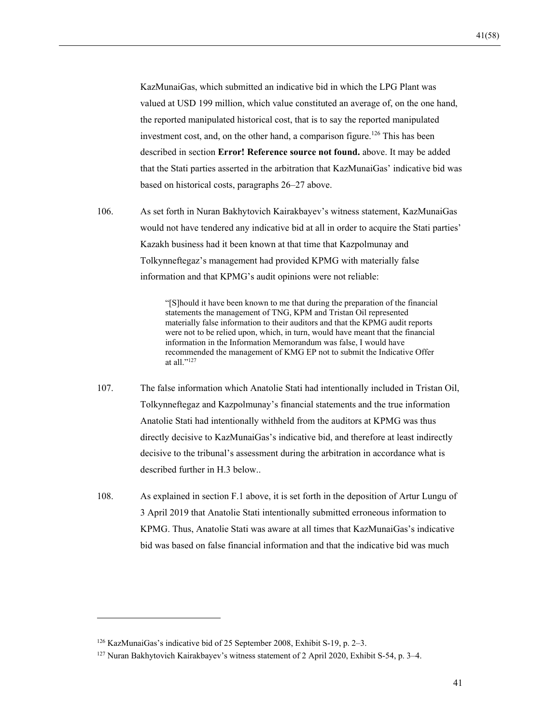KazMunaiGas, which submitted an indicative bid in which the LPG Plant was valued at USD 199 million, which value constituted an average of, on the one hand, the reported manipulated historical cost, that is to say the reported manipulated investment cost, and, on the other hand, a comparison figure.<sup>126</sup> This has been described in section **Error! Reference source not found.** above. It may be added that the Stati parties asserted in the arbitration that KazMunaiGas' indicative bid was based on historical costs, paragraphs 26–27 above.

106. As set forth in Nuran Bakhytovich Kairakbayev's witness statement, KazMunaiGas would not have tendered any indicative bid at all in order to acquire the Stati parties' Kazakh business had it been known at that time that Kazpolmunay and Tolkynneftegaz's management had provided KPMG with materially false information and that KPMG's audit opinions were not reliable:

> "[S]hould it have been known to me that during the preparation of the financial statements the management of TNG, KPM and Tristan Oil represented materially false information to their auditors and that the KPMG audit reports were not to be relied upon, which, in turn, would have meant that the financial information in the Information Memorandum was false, I would have recommended the management of KMG EP not to submit the Indicative Offer at all." $^{127}$

- 107. The false information which Anatolie Stati had intentionally included in Tristan Oil, Tolkynneftegaz and Kazpolmunay's financial statements and the true information Anatolie Stati had intentionally withheld from the auditors at KPMG was thus directly decisive to KazMunaiGas's indicative bid, and therefore at least indirectly decisive to the tribunal's assessment during the arbitration in accordance what is described further in H.3 below..
- 108. As explained in section F.1 above, it is set forth in the deposition of Artur Lungu of 3 April 2019 that Anatolie Stati intentionally submitted erroneous information to KPMG. Thus, Anatolie Stati was aware at all times that KazMunaiGas's indicative bid was based on false financial information and that the indicative bid was much

<sup>126</sup> KazMunaiGas's indicative bid of 25 September 2008, Exhibit S-19, p. 2–3.

<sup>127</sup> Nuran Bakhytovich Kairakbayev's witness statement of 2 April 2020, Exhibit S-54, p. 3–4.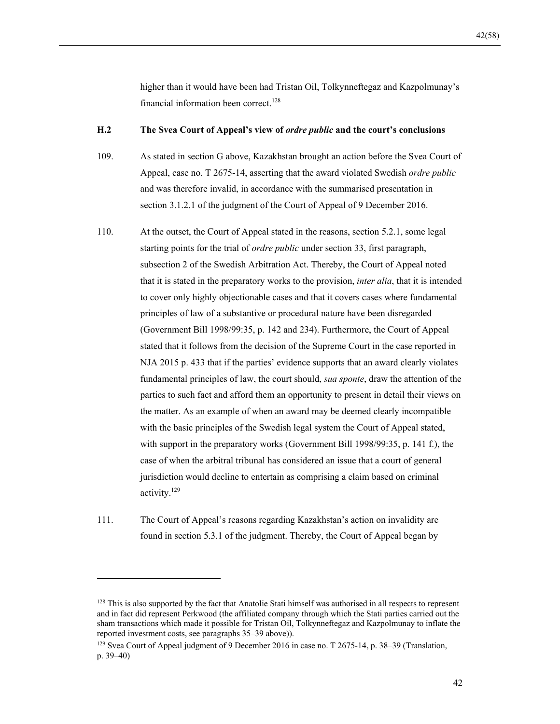higher than it would have been had Tristan Oil, Tolkynneftegaz and Kazpolmunay's financial information been correct.<sup>128</sup>

#### **H.2 The Svea Court of Appeal's view of** *ordre public* **and the court's conclusions**

109. As stated in section G above, Kazakhstan brought an action before the Svea Court of Appeal, case no. T 2675-14, asserting that the award violated Swedish *ordre public* and was therefore invalid, in accordance with the summarised presentation in section 3.1.2.1 of the judgment of the Court of Appeal of 9 December 2016.

110. At the outset, the Court of Appeal stated in the reasons, section 5.2.1, some legal starting points for the trial of *ordre public* under section 33, first paragraph, subsection 2 of the Swedish Arbitration Act. Thereby, the Court of Appeal noted that it is stated in the preparatory works to the provision, *inter alia*, that it is intended to cover only highly objectionable cases and that it covers cases where fundamental principles of law of a substantive or procedural nature have been disregarded (Government Bill 1998/99:35, p. 142 and 234). Furthermore, the Court of Appeal stated that it follows from the decision of the Supreme Court in the case reported in NJA 2015 p. 433 that if the parties' evidence supports that an award clearly violates fundamental principles of law, the court should, *sua sponte*, draw the attention of the parties to such fact and afford them an opportunity to present in detail their views on the matter. As an example of when an award may be deemed clearly incompatible with the basic principles of the Swedish legal system the Court of Appeal stated, with support in the preparatory works (Government Bill 1998/99:35, p. 141 f.), the case of when the arbitral tribunal has considered an issue that a court of general jurisdiction would decline to entertain as comprising a claim based on criminal activity.129

111. The Court of Appeal's reasons regarding Kazakhstan's action on invalidity are found in section 5.3.1 of the judgment. Thereby, the Court of Appeal began by

<sup>&</sup>lt;sup>128</sup> This is also supported by the fact that Anatolie Stati himself was authorised in all respects to represent and in fact did represent Perkwood (the affiliated company through which the Stati parties carried out the sham transactions which made it possible for Tristan Oil, Tolkynneftegaz and Kazpolmunay to inflate the reported investment costs, see paragraphs 35–39 above)).

<sup>&</sup>lt;sup>129</sup> Svea Court of Appeal judgment of 9 December 2016 in case no. T 2675-14, p. 38–39 (Translation, p. 39–40)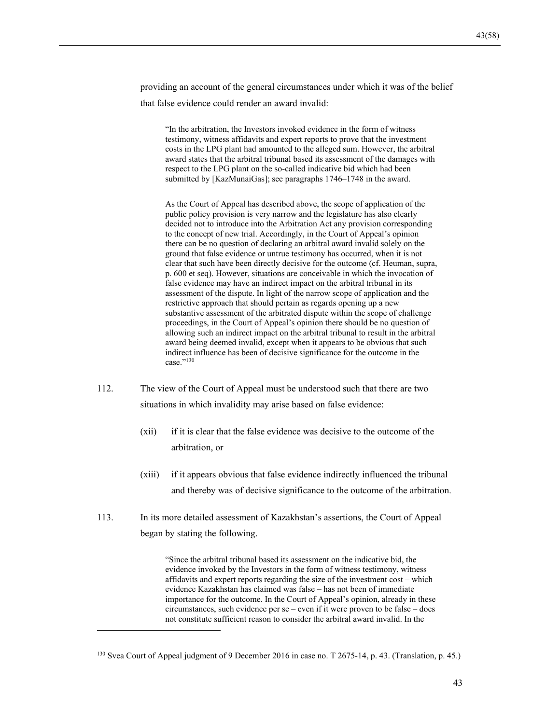providing an account of the general circumstances under which it was of the belief that false evidence could render an award invalid:

"In the arbitration, the Investors invoked evidence in the form of witness testimony, witness affidavits and expert reports to prove that the investment costs in the LPG plant had amounted to the alleged sum. However, the arbitral award states that the arbitral tribunal based its assessment of the damages with respect to the LPG plant on the so-called indicative bid which had been submitted by [KazMunaiGas]; see paragraphs 1746–1748 in the award.

As the Court of Appeal has described above, the scope of application of the public policy provision is very narrow and the legislature has also clearly decided not to introduce into the Arbitration Act any provision corresponding to the concept of new trial. Accordingly, in the Court of Appeal's opinion there can be no question of declaring an arbitral award invalid solely on the ground that false evidence or untrue testimony has occurred, when it is not clear that such have been directly decisive for the outcome (cf. Heuman, supra, p. 600 et seq). However, situations are conceivable in which the invocation of false evidence may have an indirect impact on the arbitral tribunal in its assessment of the dispute. In light of the narrow scope of application and the restrictive approach that should pertain as regards opening up a new substantive assessment of the arbitrated dispute within the scope of challenge proceedings, in the Court of Appeal's opinion there should be no question of allowing such an indirect impact on the arbitral tribunal to result in the arbitral award being deemed invalid, except when it appears to be obvious that such indirect influence has been of decisive significance for the outcome in the case."<sup>130</sup>

- 112. The view of the Court of Appeal must be understood such that there are two situations in which invalidity may arise based on false evidence:
	- (xii) if it is clear that the false evidence was decisive to the outcome of the arbitration, or
	- (xiii) if it appears obvious that false evidence indirectly influenced the tribunal and thereby was of decisive significance to the outcome of the arbitration.
- 113. In its more detailed assessment of Kazakhstan's assertions, the Court of Appeal began by stating the following.

"Since the arbitral tribunal based its assessment on the indicative bid, the evidence invoked by the Investors in the form of witness testimony, witness affidavits and expert reports regarding the size of the investment cost – which evidence Kazakhstan has claimed was false – has not been of immediate importance for the outcome. In the Court of Appeal's opinion, already in these circumstances, such evidence per se – even if it were proven to be false – does not constitute sufficient reason to consider the arbitral award invalid. In the

<sup>130</sup> Svea Court of Appeal judgment of 9 December 2016 in case no. T 2675-14, p. 43. (Translation, p. 45.)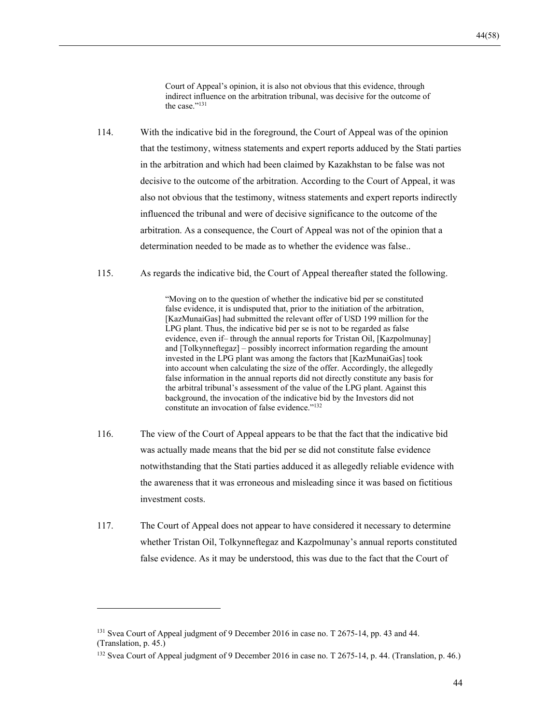Court of Appeal's opinion, it is also not obvious that this evidence, through indirect influence on the arbitration tribunal, was decisive for the outcome of the case."<sup>131</sup>

- 114. With the indicative bid in the foreground, the Court of Appeal was of the opinion that the testimony, witness statements and expert reports adduced by the Stati parties in the arbitration and which had been claimed by Kazakhstan to be false was not decisive to the outcome of the arbitration. According to the Court of Appeal, it was also not obvious that the testimony, witness statements and expert reports indirectly influenced the tribunal and were of decisive significance to the outcome of the arbitration. As a consequence, the Court of Appeal was not of the opinion that a determination needed to be made as to whether the evidence was false..
- 115. As regards the indicative bid, the Court of Appeal thereafter stated the following.

"Moving on to the question of whether the indicative bid per se constituted false evidence, it is undisputed that, prior to the initiation of the arbitration, [KazMunaiGas] had submitted the relevant offer of USD 199 million for the LPG plant. Thus, the indicative bid per se is not to be regarded as false evidence, even if– through the annual reports for Tristan Oil, [Kazpolmunay] and [Tolkynneftegaz] – possibly incorrect information regarding the amount invested in the LPG plant was among the factors that [KazMunaiGas] took into account when calculating the size of the offer. Accordingly, the allegedly false information in the annual reports did not directly constitute any basis for the arbitral tribunal's assessment of the value of the LPG plant. Against this background, the invocation of the indicative bid by the Investors did not constitute an invocation of false evidence."132

- 116. The view of the Court of Appeal appears to be that the fact that the indicative bid was actually made means that the bid per se did not constitute false evidence notwithstanding that the Stati parties adduced it as allegedly reliable evidence with the awareness that it was erroneous and misleading since it was based on fictitious investment costs.
- 117. The Court of Appeal does not appear to have considered it necessary to determine whether Tristan Oil, Tolkynneftegaz and Kazpolmunay's annual reports constituted false evidence. As it may be understood, this was due to the fact that the Court of

<sup>&</sup>lt;sup>131</sup> Svea Court of Appeal judgment of 9 December 2016 in case no. T 2675-14, pp. 43 and 44. (Translation, p. 45.)

<sup>&</sup>lt;sup>132</sup> Svea Court of Appeal judgment of 9 December 2016 in case no. T 2675-14, p. 44. (Translation, p. 46.)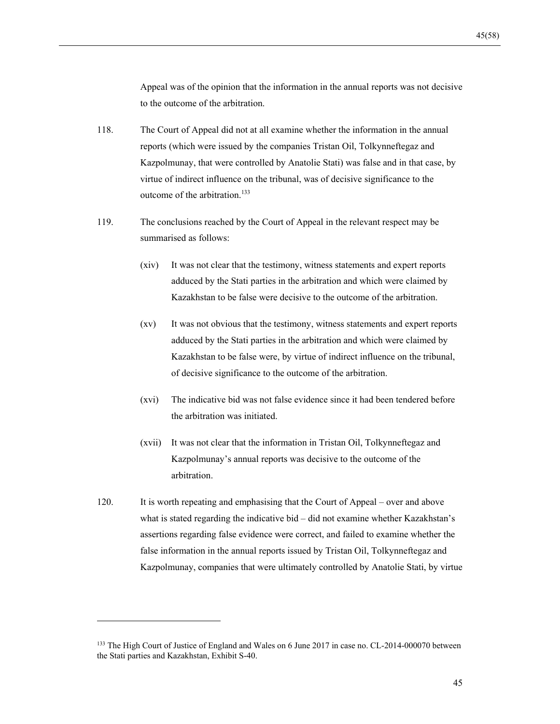Appeal was of the opinion that the information in the annual reports was not decisive to the outcome of the arbitration.

- 118. The Court of Appeal did not at all examine whether the information in the annual reports (which were issued by the companies Tristan Oil, Tolkynneftegaz and Kazpolmunay, that were controlled by Anatolie Stati) was false and in that case, by virtue of indirect influence on the tribunal, was of decisive significance to the outcome of the arbitration.<sup>133</sup>
- 119. The conclusions reached by the Court of Appeal in the relevant respect may be summarised as follows:
	- (xiv) It was not clear that the testimony, witness statements and expert reports adduced by the Stati parties in the arbitration and which were claimed by Kazakhstan to be false were decisive to the outcome of the arbitration.
	- (xv) It was not obvious that the testimony, witness statements and expert reports adduced by the Stati parties in the arbitration and which were claimed by Kazakhstan to be false were, by virtue of indirect influence on the tribunal, of decisive significance to the outcome of the arbitration.
	- (xvi) The indicative bid was not false evidence since it had been tendered before the arbitration was initiated.
	- (xvii) It was not clear that the information in Tristan Oil, Tolkynneftegaz and Kazpolmunay's annual reports was decisive to the outcome of the arbitration.
- 120. It is worth repeating and emphasising that the Court of Appeal over and above what is stated regarding the indicative bid – did not examine whether Kazakhstan's assertions regarding false evidence were correct, and failed to examine whether the false information in the annual reports issued by Tristan Oil, Tolkynneftegaz and Kazpolmunay, companies that were ultimately controlled by Anatolie Stati, by virtue

<sup>&</sup>lt;sup>133</sup> The High Court of Justice of England and Wales on 6 June 2017 in case no. CL-2014-000070 between the Stati parties and Kazakhstan, Exhibit S-40.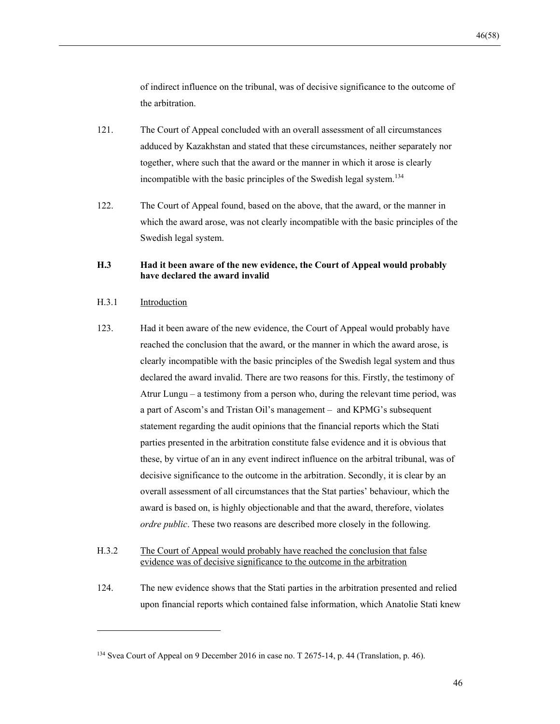of indirect influence on the tribunal, was of decisive significance to the outcome of the arbitration.

- 121. The Court of Appeal concluded with an overall assessment of all circumstances adduced by Kazakhstan and stated that these circumstances, neither separately nor together, where such that the award or the manner in which it arose is clearly incompatible with the basic principles of the Swedish legal system.<sup>134</sup>
- 122. The Court of Appeal found, based on the above, that the award, or the manner in which the award arose, was not clearly incompatible with the basic principles of the Swedish legal system.

### **H.3 Had it been aware of the new evidence, the Court of Appeal would probably have declared the award invalid**

#### H.3.1 Introduction

- 123. Had it been aware of the new evidence, the Court of Appeal would probably have reached the conclusion that the award, or the manner in which the award arose, is clearly incompatible with the basic principles of the Swedish legal system and thus declared the award invalid. There are two reasons for this. Firstly, the testimony of Atrur Lungu – a testimony from a person who, during the relevant time period, was a part of Ascom's and Tristan Oil's management – and KPMG's subsequent statement regarding the audit opinions that the financial reports which the Stati parties presented in the arbitration constitute false evidence and it is obvious that these, by virtue of an in any event indirect influence on the arbitral tribunal, was of decisive significance to the outcome in the arbitration. Secondly, it is clear by an overall assessment of all circumstances that the Stat parties' behaviour, which the award is based on, is highly objectionable and that the award, therefore, violates *ordre public*. These two reasons are described more closely in the following.
- H.3.2 The Court of Appeal would probably have reached the conclusion that false evidence was of decisive significance to the outcome in the arbitration
- 124. The new evidence shows that the Stati parties in the arbitration presented and relied upon financial reports which contained false information, which Anatolie Stati knew

<sup>&</sup>lt;sup>134</sup> Svea Court of Appeal on 9 December 2016 in case no. T 2675-14, p. 44 (Translation, p. 46).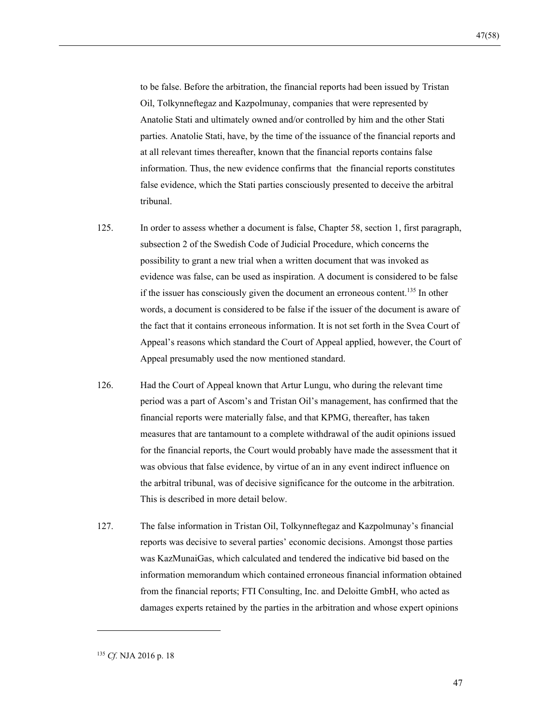to be false. Before the arbitration, the financial reports had been issued by Tristan Oil, Tolkynneftegaz and Kazpolmunay, companies that were represented by Anatolie Stati and ultimately owned and/or controlled by him and the other Stati parties. Anatolie Stati, have, by the time of the issuance of the financial reports and at all relevant times thereafter, known that the financial reports contains false information. Thus, the new evidence confirms that the financial reports constitutes false evidence, which the Stati parties consciously presented to deceive the arbitral tribunal.

- 125. In order to assess whether a document is false, Chapter 58, section 1, first paragraph, subsection 2 of the Swedish Code of Judicial Procedure, which concerns the possibility to grant a new trial when a written document that was invoked as evidence was false, can be used as inspiration. A document is considered to be false if the issuer has consciously given the document an erroneous content.<sup>135</sup> In other words, a document is considered to be false if the issuer of the document is aware of the fact that it contains erroneous information. It is not set forth in the Svea Court of Appeal's reasons which standard the Court of Appeal applied, however, the Court of Appeal presumably used the now mentioned standard.
- 126. Had the Court of Appeal known that Artur Lungu, who during the relevant time period was a part of Ascom's and Tristan Oil's management, has confirmed that the financial reports were materially false, and that KPMG, thereafter, has taken measures that are tantamount to a complete withdrawal of the audit opinions issued for the financial reports, the Court would probably have made the assessment that it was obvious that false evidence, by virtue of an in any event indirect influence on the arbitral tribunal, was of decisive significance for the outcome in the arbitration. This is described in more detail below.
- 127. The false information in Tristan Oil, Tolkynneftegaz and Kazpolmunay's financial reports was decisive to several parties' economic decisions. Amongst those parties was KazMunaiGas, which calculated and tendered the indicative bid based on the information memorandum which contained erroneous financial information obtained from the financial reports; FTI Consulting, Inc. and Deloitte GmbH, who acted as damages experts retained by the parties in the arbitration and whose expert opinions

<sup>135</sup> *Cf.* NJA 2016 p. 18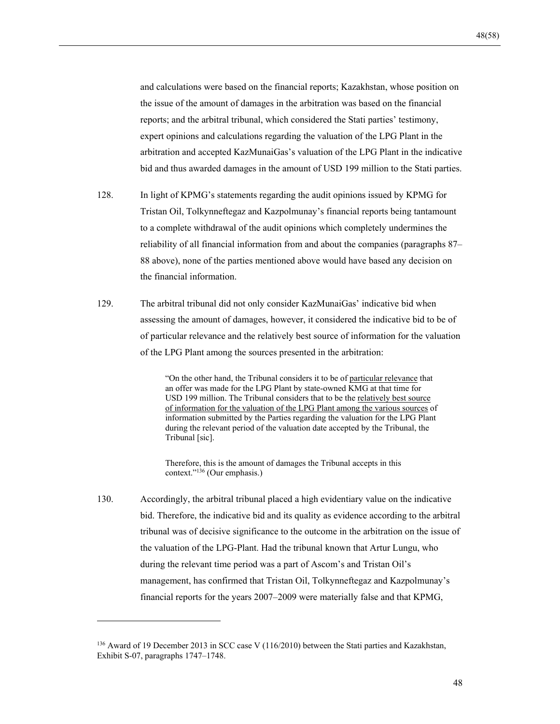and calculations were based on the financial reports; Kazakhstan, whose position on the issue of the amount of damages in the arbitration was based on the financial reports; and the arbitral tribunal, which considered the Stati parties' testimony, expert opinions and calculations regarding the valuation of the LPG Plant in the arbitration and accepted KazMunaiGas's valuation of the LPG Plant in the indicative bid and thus awarded damages in the amount of USD 199 million to the Stati parties.

- 128. In light of KPMG's statements regarding the audit opinions issued by KPMG for Tristan Oil, Tolkynneftegaz and Kazpolmunay's financial reports being tantamount to a complete withdrawal of the audit opinions which completely undermines the reliability of all financial information from and about the companies (paragraphs 87– 88 above), none of the parties mentioned above would have based any decision on the financial information.
- 129. The arbitral tribunal did not only consider KazMunaiGas' indicative bid when assessing the amount of damages, however, it considered the indicative bid to be of of particular relevance and the relatively best source of information for the valuation of the LPG Plant among the sources presented in the arbitration:

"On the other hand, the Tribunal considers it to be of particular relevance that an offer was made for the LPG Plant by state-owned KMG at that time for USD 199 million. The Tribunal considers that to be the relatively best source of information for the valuation of the LPG Plant among the various sources of information submitted by the Parties regarding the valuation for the LPG Plant during the relevant period of the valuation date accepted by the Tribunal, the Tribunal [sic].

Therefore, this is the amount of damages the Tribunal accepts in this context."136 (Our emphasis.)

130. Accordingly, the arbitral tribunal placed a high evidentiary value on the indicative bid. Therefore, the indicative bid and its quality as evidence according to the arbitral tribunal was of decisive significance to the outcome in the arbitration on the issue of the valuation of the LPG-Plant. Had the tribunal known that Artur Lungu, who during the relevant time period was a part of Ascom's and Tristan Oil's management, has confirmed that Tristan Oil, Tolkynneftegaz and Kazpolmunay's financial reports for the years 2007–2009 were materially false and that KPMG,

<sup>136</sup> Award of 19 December 2013 in SCC case V (116/2010) between the Stati parties and Kazakhstan, Exhibit S-07, paragraphs 1747–1748.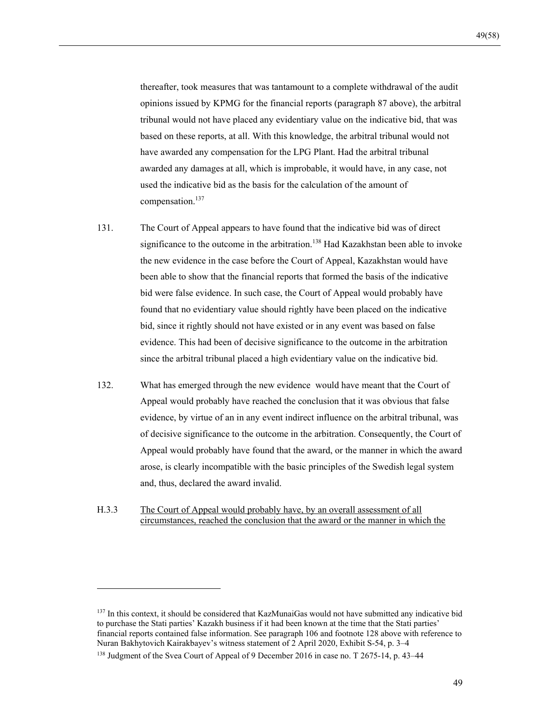thereafter, took measures that was tantamount to a complete withdrawal of the audit opinions issued by KPMG for the financial reports (paragraph 87 above), the arbitral tribunal would not have placed any evidentiary value on the indicative bid, that was based on these reports, at all. With this knowledge, the arbitral tribunal would not have awarded any compensation for the LPG Plant. Had the arbitral tribunal awarded any damages at all, which is improbable, it would have, in any case, not used the indicative bid as the basis for the calculation of the amount of compensation.137

- 131. The Court of Appeal appears to have found that the indicative bid was of direct significance to the outcome in the arbitration.<sup>138</sup> Had Kazakhstan been able to invoke the new evidence in the case before the Court of Appeal, Kazakhstan would have been able to show that the financial reports that formed the basis of the indicative bid were false evidence. In such case, the Court of Appeal would probably have found that no evidentiary value should rightly have been placed on the indicative bid, since it rightly should not have existed or in any event was based on false evidence. This had been of decisive significance to the outcome in the arbitration since the arbitral tribunal placed a high evidentiary value on the indicative bid.
- 132. What has emerged through the new evidence would have meant that the Court of Appeal would probably have reached the conclusion that it was obvious that false evidence, by virtue of an in any event indirect influence on the arbitral tribunal, was of decisive significance to the outcome in the arbitration. Consequently, the Court of Appeal would probably have found that the award, or the manner in which the award arose, is clearly incompatible with the basic principles of the Swedish legal system and, thus, declared the award invalid.
- H.3.3 The Court of Appeal would probably have, by an overall assessment of all circumstances, reached the conclusion that the award or the manner in which the

<sup>&</sup>lt;sup>137</sup> In this context, it should be considered that KazMunaiGas would not have submitted any indicative bid to purchase the Stati parties' Kazakh business if it had been known at the time that the Stati parties' financial reports contained false information. See paragraph 106 and footnote 128 above with reference to Nuran Bakhytovich Kairakbayev's witness statement of 2 April 2020, Exhibit S-54, p. 3–4

<sup>&</sup>lt;sup>138</sup> Judgment of the Svea Court of Appeal of 9 December 2016 in case no. T 2675-14, p. 43-44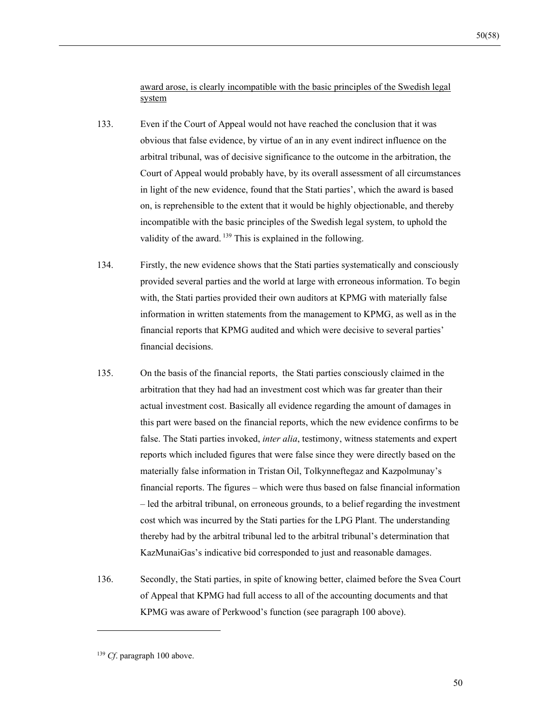award arose, is clearly incompatible with the basic principles of the Swedish legal system

- 133. Even if the Court of Appeal would not have reached the conclusion that it was obvious that false evidence, by virtue of an in any event indirect influence on the arbitral tribunal, was of decisive significance to the outcome in the arbitration, the Court of Appeal would probably have, by its overall assessment of all circumstances in light of the new evidence, found that the Stati parties', which the award is based on, is reprehensible to the extent that it would be highly objectionable, and thereby incompatible with the basic principles of the Swedish legal system, to uphold the validity of the award.  $139$  This is explained in the following.
- 134. Firstly, the new evidence shows that the Stati parties systematically and consciously provided several parties and the world at large with erroneous information. To begin with, the Stati parties provided their own auditors at KPMG with materially false information in written statements from the management to KPMG, as well as in the financial reports that KPMG audited and which were decisive to several parties' financial decisions.
- 135. On the basis of the financial reports, the Stati parties consciously claimed in the arbitration that they had had an investment cost which was far greater than their actual investment cost. Basically all evidence regarding the amount of damages in this part were based on the financial reports, which the new evidence confirms to be false. The Stati parties invoked, *inter alia*, testimony, witness statements and expert reports which included figures that were false since they were directly based on the materially false information in Tristan Oil, Tolkynneftegaz and Kazpolmunay's financial reports. The figures – which were thus based on false financial information – led the arbitral tribunal, on erroneous grounds, to a belief regarding the investment cost which was incurred by the Stati parties for the LPG Plant. The understanding thereby had by the arbitral tribunal led to the arbitral tribunal's determination that KazMunaiGas's indicative bid corresponded to just and reasonable damages.
- 136. Secondly, the Stati parties, in spite of knowing better, claimed before the Svea Court of Appeal that KPMG had full access to all of the accounting documents and that KPMG was aware of Perkwood's function (see paragraph 100 above).

<sup>139</sup> *Cf*. paragraph 100 above.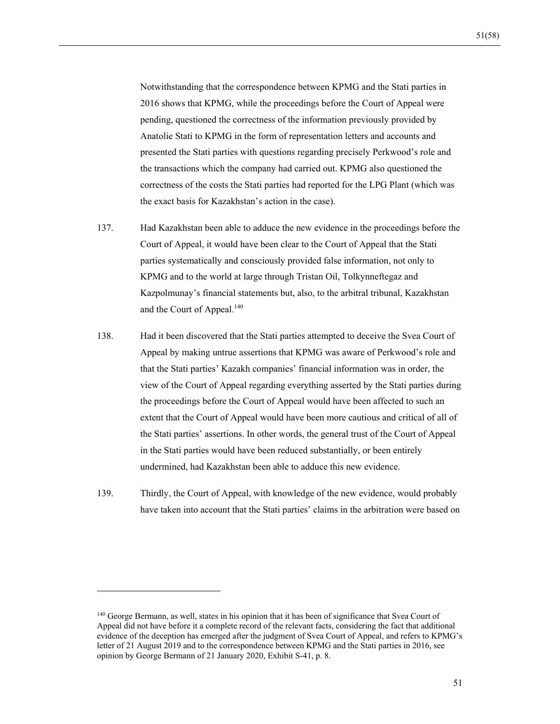Notwithstanding that the correspondence between KPMG and the Stati parties in 2016 shows that KPMG, while the proceedings before the Court of Appeal were pending, questioned the correctness of the information previously provided by Anatolie Stati to KPMG in the form of representation letters and accounts and presented the Stati parties with questions regarding precisely Perkwood's role and the transactions which the company had carried out. KPMG also questioned the correctness of the costs the Stati parties had reported for the LPG Plant (which was the exact basis for Kazakhstan's action in the case).

- 137. Had Kazakhstan been able to adduce the new evidence in the proceedings before the Court of Appeal, it would have been clear to the Court of Appeal that the Stati parties systematically and consciously provided false information, not only to KPMG and to the world at large through Tristan Oil, Tolkynneftegaz and Kazpolmunay's financial statements but, also, to the arbitral tribunal, Kazakhstan and the Court of Appeal.<sup>140</sup>
- 138. Had it been discovered that the Stati parties attempted to deceive the Svea Court of Appeal by making untrue assertions that KPMG was aware of Perkwood's role and that the Stati parties' Kazakh companies' financial information was in order, the view of the Court of Appeal regarding everything asserted by the Stati parties during the proceedings before the Court of Appeal would have been affected to such an extent that the Court of Appeal would have been more cautious and critical of all of the Stati parties' assertions. In other words, the general trust of the Court of Appeal in the Stati parties would have been reduced substantially, or been entirely undermined, had Kazakhstan been able to adduce this new evidence.
- 139. Thirdly, the Court of Appeal, with knowledge of the new evidence, would probably have taken into account that the Stati parties' claims in the arbitration were based on

<sup>&</sup>lt;sup>140</sup> George Bermann, as well, states in his opinion that it has been of significance that Svea Court of Appeal did not have before it a complete record of the relevant facts, considering the fact that additional evidence of the deception has emerged after the judgment of Svea Court of Appeal, and refers to KPMG's letter of 21 August 2019 and to the correspondence between KPMG and the Stati parties in 2016, see opinion by George Bermann of 21 January 2020, Exhibit S-41, p. 8.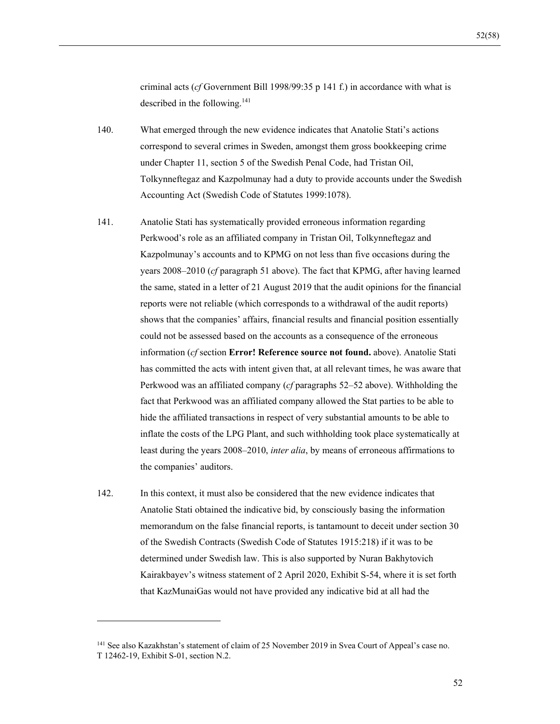criminal acts (*cf* Government Bill 1998/99:35 p 141 f.) in accordance with what is described in the following.<sup>141</sup>

- 140. What emerged through the new evidence indicates that Anatolie Stati's actions correspond to several crimes in Sweden, amongst them gross bookkeeping crime under Chapter 11, section 5 of the Swedish Penal Code, had Tristan Oil, Tolkynneftegaz and Kazpolmunay had a duty to provide accounts under the Swedish Accounting Act (Swedish Code of Statutes 1999:1078).
- 141. Anatolie Stati has systematically provided erroneous information regarding Perkwood's role as an affiliated company in Tristan Oil, Tolkynneftegaz and Kazpolmunay's accounts and to KPMG on not less than five occasions during the years 2008–2010 (*cf* paragraph 51 above). The fact that KPMG, after having learned the same, stated in a letter of 21 August 2019 that the audit opinions for the financial reports were not reliable (which corresponds to a withdrawal of the audit reports) shows that the companies' affairs, financial results and financial position essentially could not be assessed based on the accounts as a consequence of the erroneous information (*cf* section **Error! Reference source not found.** above). Anatolie Stati has committed the acts with intent given that, at all relevant times, he was aware that Perkwood was an affiliated company (*cf* paragraphs 52–52 above). Withholding the fact that Perkwood was an affiliated company allowed the Stat parties to be able to hide the affiliated transactions in respect of very substantial amounts to be able to inflate the costs of the LPG Plant, and such withholding took place systematically at least during the years 2008–2010, *inter alia*, by means of erroneous affirmations to the companies' auditors.
- 142. In this context, it must also be considered that the new evidence indicates that Anatolie Stati obtained the indicative bid, by consciously basing the information memorandum on the false financial reports, is tantamount to deceit under section 30 of the Swedish Contracts (Swedish Code of Statutes 1915:218) if it was to be determined under Swedish law. This is also supported by Nuran Bakhytovich Kairakbayev's witness statement of 2 April 2020, Exhibit S-54, where it is set forth that KazMunaiGas would not have provided any indicative bid at all had the

<sup>141</sup> See also Kazakhstan's statement of claim of 25 November 2019 in Svea Court of Appeal's case no. T 12462-19, Exhibit S-01, section N.2.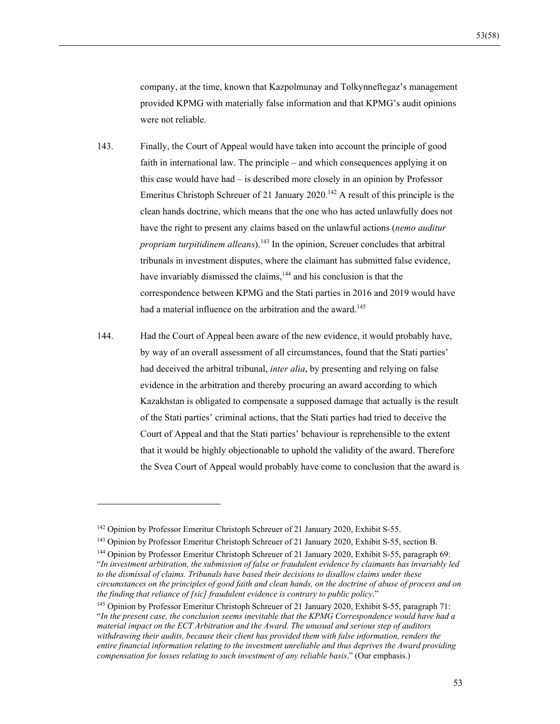company, at the time, known that Kazpolmunay and Tolkynneftegaz's management provided KPMG with materially false information and that KPMG's audit opinions were not reliable.

- 143. Finally, the Court of Appeal would have taken into account the principle of good faith in international law. The principle – and which consequences applying it on this case would have had – is described more closely in an opinion by Professor Emeritus Christoph Schreuer of 21 January  $2020$ .<sup>142</sup> A result of this principle is the clean hands doctrine, which means that the one who has acted unlawfully does not have the right to present any claims based on the unlawful actions (*nemo auditur propriam turpitidinem alleans*).143 In the opinion, Screuer concludes that arbitral tribunals in investment disputes, where the claimant has submitted false evidence, have invariably dismissed the claims,<sup>144</sup> and his conclusion is that the correspondence between KPMG and the Stati parties in 2016 and 2019 would have had a material influence on the arbitration and the award.<sup>145</sup>
- 144. Had the Court of Appeal been aware of the new evidence, it would probably have, by way of an overall assessment of all circumstances, found that the Stati parties' had deceived the arbitral tribunal, *inter alia*, by presenting and relying on false evidence in the arbitration and thereby procuring an award according to which Kazakhstan is obligated to compensate a supposed damage that actually is the result of the Stati parties' criminal actions, that the Stati parties had tried to deceive the Court of Appeal and that the Stati parties' behaviour is reprehensible to the extent that it would be highly objectionable to uphold the validity of the award. Therefore the Svea Court of Appeal would probably have come to conclusion that the award is

<sup>142</sup> Opinion by Professor Emeritur Christoph Schreuer of 21 January 2020, Exhibit S-55.

<sup>143</sup> Opinion by Professor Emeritur Christoph Schreuer of 21 January 2020, Exhibit S-55, section B.

<sup>&</sup>lt;sup>144</sup> Opinion by Professor Emeritur Christoph Schreuer of 21 January 2020, Exhibit S-55, paragraph 69: "*In investment arbitration, the submission of false or fraudulent evidence by claimants has invariably led to the dismissal of claims. Tribunals have based their decisions to disallow claims under these circumstances on the principles of good faith and clean hands, on the doctrine of abuse of process and on the finding that reliance of [sic] fraudulent evidence is contrary to public policy*."

<sup>145</sup> Opinion by Professor Emeritur Christoph Schreuer of 21 January 2020, Exhibit S-55, paragraph 71: "*In the present case, the conclusion seems inevitable that the KPMG Correspondence would have had a material impact on the ECT Arbitration and the Award. The unusual and serious step of auditors withdrawing their audits, because their client has provided them with false information, renders the entire financial information relating to the investment unreliable and thus deprives the Award providing compensation for losses relating to such investment of any reliable basis*." (Our emphasis.)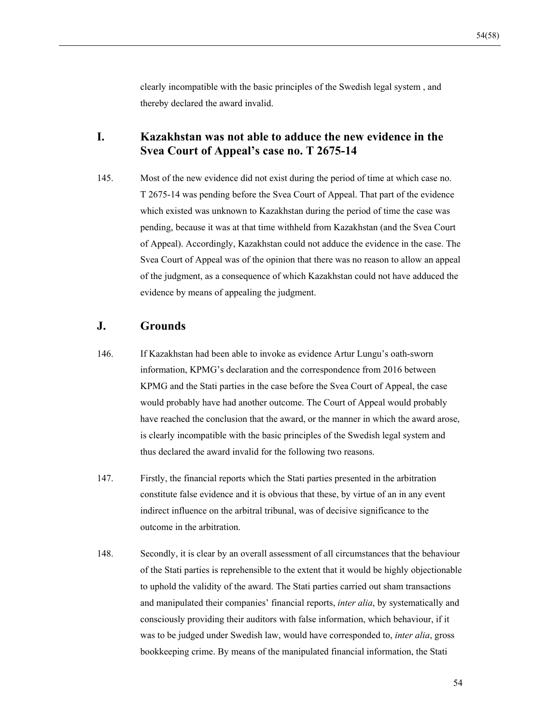clearly incompatible with the basic principles of the Swedish legal system , and thereby declared the award invalid.

## **I. Kazakhstan was not able to adduce the new evidence in the Svea Court of Appeal's case no. T 2675-14**

145. Most of the new evidence did not exist during the period of time at which case no. T 2675-14 was pending before the Svea Court of Appeal. That part of the evidence which existed was unknown to Kazakhstan during the period of time the case was pending, because it was at that time withheld from Kazakhstan (and the Svea Court of Appeal). Accordingly, Kazakhstan could not adduce the evidence in the case. The Svea Court of Appeal was of the opinion that there was no reason to allow an appeal of the judgment, as a consequence of which Kazakhstan could not have adduced the evidence by means of appealing the judgment.

## **J. Grounds**

- 146. If Kazakhstan had been able to invoke as evidence Artur Lungu's oath-sworn information, KPMG's declaration and the correspondence from 2016 between KPMG and the Stati parties in the case before the Svea Court of Appeal, the case would probably have had another outcome. The Court of Appeal would probably have reached the conclusion that the award, or the manner in which the award arose, is clearly incompatible with the basic principles of the Swedish legal system and thus declared the award invalid for the following two reasons.
- 147. Firstly, the financial reports which the Stati parties presented in the arbitration constitute false evidence and it is obvious that these, by virtue of an in any event indirect influence on the arbitral tribunal, was of decisive significance to the outcome in the arbitration.
- 148. Secondly, it is clear by an overall assessment of all circumstances that the behaviour of the Stati parties is reprehensible to the extent that it would be highly objectionable to uphold the validity of the award. The Stati parties carried out sham transactions and manipulated their companies' financial reports, *inter alia*, by systematically and consciously providing their auditors with false information, which behaviour, if it was to be judged under Swedish law, would have corresponded to, *inter alia*, gross bookkeeping crime. By means of the manipulated financial information, the Stati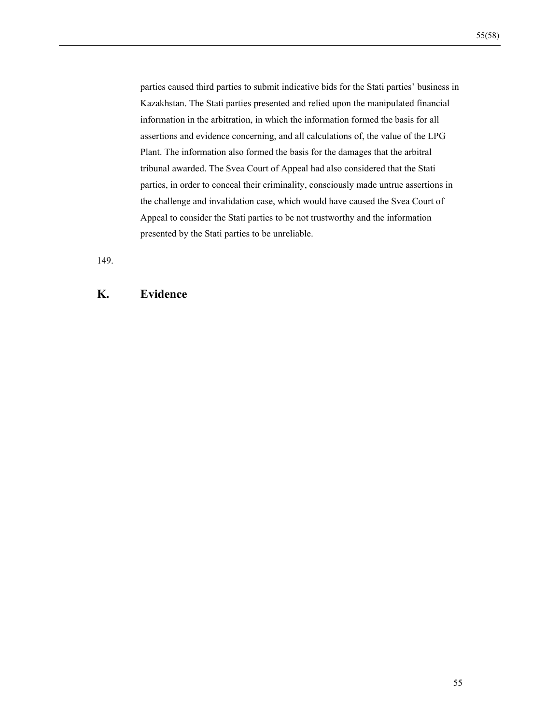parties caused third parties to submit indicative bids for the Stati parties' business in Kazakhstan. The Stati parties presented and relied upon the manipulated financial information in the arbitration, in which the information formed the basis for all assertions and evidence concerning, and all calculations of, the value of the LPG Plant. The information also formed the basis for the damages that the arbitral tribunal awarded. The Svea Court of Appeal had also considered that the Stati parties, in order to conceal their criminality, consciously made untrue assertions in the challenge and invalidation case, which would have caused the Svea Court of Appeal to consider the Stati parties to be not trustworthy and the information presented by the Stati parties to be unreliable.

149.

## **K. Evidence**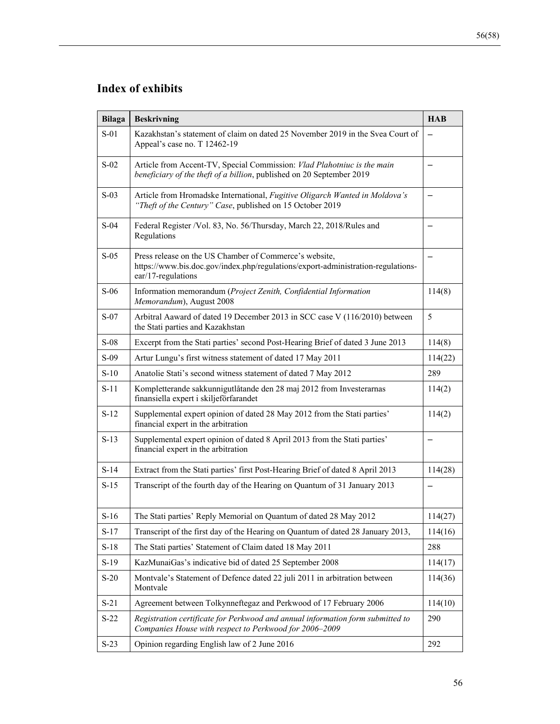| <b>Bilaga</b> | <b>Beskrivning</b>                                                                                                                                               | <b>HAB</b> |
|---------------|------------------------------------------------------------------------------------------------------------------------------------------------------------------|------------|
| $S-01$        | Kazakhstan's statement of claim on dated 25 November 2019 in the Svea Court of<br>Appeal's case no. T 12462-19                                                   |            |
| $S-02$        | Article from Accent-TV, Special Commission: Vlad Plahotniuc is the main<br>beneficiary of the theft of a billion, published on 20 September 2019                 |            |
| $S-03$        | Article from Hromadske International, Fugitive Oligarch Wanted in Moldova's<br>"Theft of the Century" Case, published on 15 October 2019                         |            |
| $S-04$        | Federal Register /Vol. 83, No. 56/Thursday, March 22, 2018/Rules and<br>Regulations                                                                              |            |
| $S-0.5$       | Press release on the US Chamber of Commerce's website,<br>https://www.bis.doc.gov/index.php/regulations/export-administration-regulations-<br>ear/17-regulations |            |
| $S-06$        | Information memorandum (Project Zenith, Confidential Information<br>Memorandum), August 2008                                                                     | 114(8)     |
| $S-07$        | Arbitral Aaward of dated 19 December 2013 in SCC case V (116/2010) between<br>the Stati parties and Kazakhstan                                                   | 5          |
| $S-08$        | Excerpt from the Stati parties' second Post-Hearing Brief of dated 3 June 2013                                                                                   | 114(8)     |
| $S-09$        | Artur Lungu's first witness statement of dated 17 May 2011                                                                                                       | 114(22)    |
| $S-10$        | Anatolie Stati's second witness statement of dated 7 May 2012                                                                                                    | 289        |
| $S-11$        | Kompletterande sakkunnigutlåtande den 28 maj 2012 from Investerarnas<br>finansiella expert i skiljeförfarandet                                                   | 114(2)     |
| $S-12$        | Supplemental expert opinion of dated 28 May 2012 from the Stati parties'<br>financial expert in the arbitration                                                  | 114(2)     |
| $S-13$        | Supplemental expert opinion of dated 8 April 2013 from the Stati parties'<br>financial expert in the arbitration                                                 |            |
| $S-14$        | Extract from the Stati parties' first Post-Hearing Brief of dated 8 April 2013                                                                                   | 114(28)    |
| $S-15$        | Transcript of the fourth day of the Hearing on Quantum of 31 January 2013                                                                                        |            |
| $S-16$        | The Stati parties' Reply Memorial on Quantum of dated 28 May 2012                                                                                                | 114(27)    |
| $S-17$        | Transcript of the first day of the Hearing on Quantum of dated 28 January 2013,                                                                                  | 114(16)    |
| $S-18$        | The Stati parties' Statement of Claim dated 18 May 2011                                                                                                          | 288        |
| $S-19$        | KazMunaiGas's indicative bid of dated 25 September 2008                                                                                                          | 114(17)    |
| $S-20$        | Montvale's Statement of Defence dated 22 juli 2011 in arbitration between<br>Montvale                                                                            | 114(36)    |
| $S-21$        | Agreement between Tolkynneftegaz and Perkwood of 17 February 2006                                                                                                | 114(10)    |
| $S-22$        | Registration certificate for Perkwood and annual information form submitted to<br>Companies House with respect to Perkwood for 2006-2009                         | 290        |
| $S-23$        | Opinion regarding English law of 2 June 2016                                                                                                                     | 292        |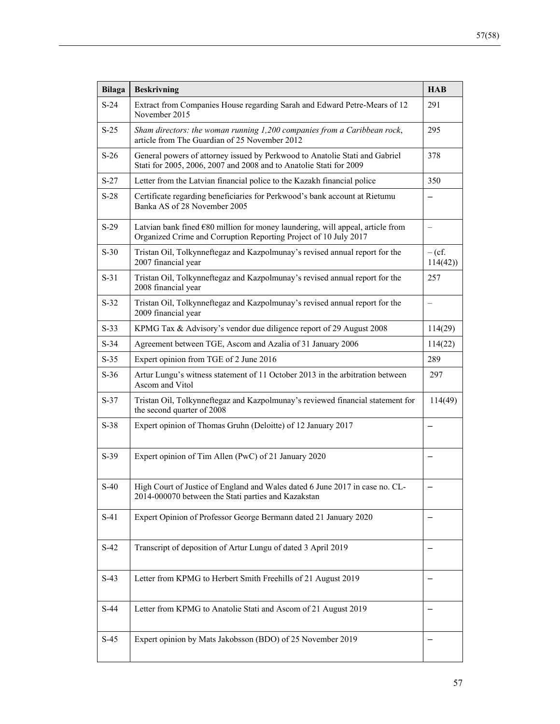| <b>Bilaga</b> | <b>Beskrivning</b>                                                                                                                                   | <b>HAB</b>               |
|---------------|------------------------------------------------------------------------------------------------------------------------------------------------------|--------------------------|
| $S-24$        | Extract from Companies House regarding Sarah and Edward Petre-Mears of 12<br>November 2015                                                           | 291                      |
| $S-25$        | Sham directors: the woman running 1,200 companies from a Caribbean rock,<br>article from The Guardian of 25 November 2012                            | 295                      |
| $S-26$        | General powers of attorney issued by Perkwood to Anatolie Stati and Gabriel<br>Stati for 2005, 2006, 2007 and 2008 and to Anatolie Stati for 2009    | 378                      |
| $S-27$        | Letter from the Latvian financial police to the Kazakh financial police                                                                              | 350                      |
| $S-28$        | Certificate regarding beneficiaries for Perkwood's bank account at Rietumu<br>Banka AS of 28 November 2005                                           |                          |
| $S-29$        | Latvian bank fined $680$ million for money laundering, will appeal, article from<br>Organized Crime and Corruption Reporting Project of 10 July 2017 |                          |
| $S-30$        | Tristan Oil, Tolkynneftegaz and Kazpolmunay's revised annual report for the<br>2007 financial year                                                   | $-$ (cf.<br>114(42)      |
| $S-31$        | Tristan Oil, Tolkynneftegaz and Kazpolmunay's revised annual report for the<br>2008 financial year                                                   | 257                      |
| $S-32$        | Tristan Oil, Tolkynneftegaz and Kazpolmunay's revised annual report for the<br>2009 financial year                                                   | $\overline{\phantom{0}}$ |
| $S-33$        | KPMG Tax & Advisory's vendor due diligence report of 29 August 2008                                                                                  | 114(29)                  |
| $S-34$        | Agreement between TGE, Ascom and Azalia of 31 January 2006                                                                                           | 114(22)                  |
| $S-35$        | Expert opinion from TGE of 2 June 2016                                                                                                               | 289                      |
| $S-36$        | Artur Lungu's witness statement of 11 October 2013 in the arbitration between<br>Ascom and Vitol                                                     | 297                      |
| $S-37$        | Tristan Oil, Tolkynneftegaz and Kazpolmunay's reviewed financial statement for<br>the second quarter of 2008                                         | 114(49)                  |
| $S-38$        | Expert opinion of Thomas Gruhn (Deloitte) of 12 January 2017                                                                                         |                          |
| $S-39$        | Expert opinion of Tim Allen (PwC) of 21 January 2020                                                                                                 |                          |
| $S-40$        | High Court of Justice of England and Wales dated 6 June 2017 in case no. CL-<br>2014-000070 between the Stati parties and Kazakstan                  |                          |
| $S-41$        | Expert Opinion of Professor George Bermann dated 21 January 2020                                                                                     |                          |
| $S-42$        | Transcript of deposition of Artur Lungu of dated 3 April 2019                                                                                        |                          |
| $S-43$        | Letter from KPMG to Herbert Smith Freehills of 21 August 2019                                                                                        |                          |
| $S-44$        | Letter from KPMG to Anatolie Stati and Ascom of 21 August 2019                                                                                       |                          |
| $S-45$        | Expert opinion by Mats Jakobsson (BDO) of 25 November 2019                                                                                           |                          |